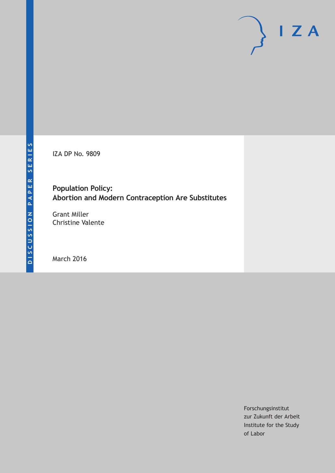IZA DP No. 9809

**Population Policy: Abortion and Modern Contraception Are Substitutes**

Grant Miller Christine Valente

March 2016

Forschungsinstitut zur Zukunft der Arbeit Institute for the Study of Labor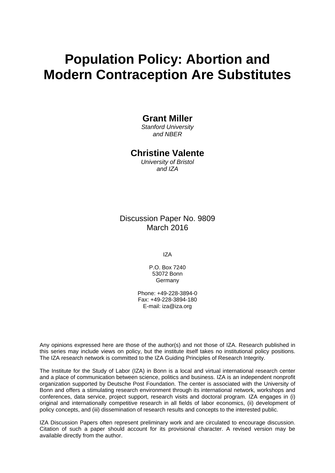# **Population Policy: Abortion and Modern Contraception Are Substitutes**

# **Grant Miller**

*Stanford University and NBER* 

# **Christine Valente**

*University of Bristol and IZA* 

Discussion Paper No. 9809 March 2016

IZA

P.O. Box 7240 53072 Bonn Germany

Phone: +49-228-3894-0 Fax: +49-228-3894-180 E-mail: iza@iza.org

Any opinions expressed here are those of the author(s) and not those of IZA. Research published in this series may include views on policy, but the institute itself takes no institutional policy positions. The IZA research network is committed to the IZA Guiding Principles of Research Integrity.

The Institute for the Study of Labor (IZA) in Bonn is a local and virtual international research center and a place of communication between science, politics and business. IZA is an independent nonprofit organization supported by Deutsche Post Foundation. The center is associated with the University of Bonn and offers a stimulating research environment through its international network, workshops and conferences, data service, project support, research visits and doctoral program. IZA engages in (i) original and internationally competitive research in all fields of labor economics, (ii) development of policy concepts, and (iii) dissemination of research results and concepts to the interested public.

IZA Discussion Papers often represent preliminary work and are circulated to encourage discussion. Citation of such a paper should account for its provisional character. A revised version may be available directly from the author.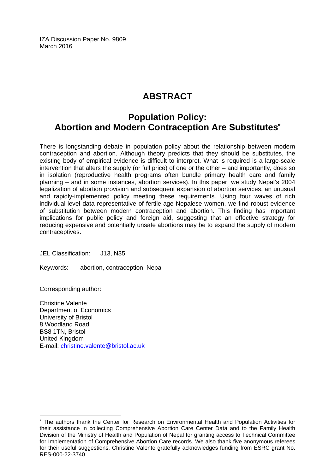IZA Discussion Paper No. 9809 March 2016

# **ABSTRACT**

# **Population Policy: Abortion and Modern Contraception Are Substitutes\***

There is longstanding debate in population policy about the relationship between modern contraception and abortion. Although theory predicts that they should be substitutes, the existing body of empirical evidence is difficult to interpret. What is required is a large‐scale intervention that alters the supply (or full price) of one or the other – and importantly, does so in isolation (reproductive health programs often bundle primary health care and family planning – and in some instances, abortion services). In this paper, we study Nepal's 2004 legalization of abortion provision and subsequent expansion of abortion services, an unusual and rapidly‐implemented policy meeting these requirements. Using four waves of rich individual-level data representative of fertile-age Nepalese women, we find robust evidence of substitution between modern contraception and abortion. This finding has important implications for public policy and foreign aid, suggesting that an effective strategy for reducing expensive and potentially unsafe abortions may be to expand the supply of modern contraceptives.

JEL Classification: J13, N35

Keywords: abortion, contraception, Nepal

Corresponding author:

 $\overline{\phantom{a}}$ 

Christine Valente Department of Economics University of Bristol 8 Woodland Road BS8 1TN, Bristol United Kingdom E-mail: christine.valente@bristol.ac.uk

<sup>\*</sup> The authors thank the Center for Research on Environmental Health and Population Activities for their assistance in collecting Comprehensive Abortion Care Center Data and to the Family Health Division of the Ministry of Health and Population of Nepal for granting access to Technical Committee for Implementation of Comprehensive Abortion Care records. We also thank five anonymous referees for their useful suggestions. Christine Valente gratefully acknowledges funding from ESRC grant No. RES‐000‐22‐3740.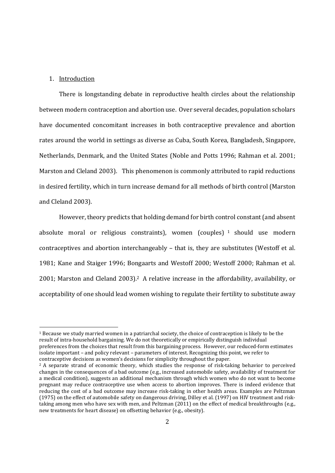#### 1. Introduction

 

There is longstanding debate in reproductive health circles about the relationship between modern contraception and abortion use. Over several decades, population scholars have documented concomitant increases in both contraceptive prevalence and abortion rates around the world in settings as diverse as Cuba, South Korea, Bangladesh, Singapore, Netherlands, Denmark, and the United States (Noble and Potts 1996; Rahman et al. 2001; Marston and Cleland 2003). This phenomenon is commonly attributed to rapid reductions in desired fertility, which in turn increase demand for all methods of birth control (Marston and Cleland 2003). 

However, theory predicts that holding demand for birth control constant (and absent absolute moral or religious constraints), women (couples)  $1$  should use modern contraceptives and abortion interchangeably - that is, they are substitutes (Westoff et al. 1981; Kane and Staiger 1996; Bongaarts and Westoff 2000; Westoff 2000; Rahman et al. 2001; Marston and Cleland 2003).<sup>2</sup> A relative increase in the affordability, availability, or acceptability of one should lead women wishing to regulate their fertility to substitute away

 $1$  Because we study married women in a patriarchal society, the choice of contraception is likely to be the result of intra-household bargaining. We do not theoretically or empirically distinguish individual preferences from the choices that result from this bargaining process. However, our reduced-form estimates isolate important - and policy relevant - parameters of interest. Recognizing this point, we refer to contraceptive decisions as women's decisions for simplicity throughout the paper.

<sup>&</sup>lt;sup>2</sup> A separate strand of economic theory, which studies the response of risk-taking behavior to perceived changes in the consequences of a bad outcome (e.g., increased automobile safety, availability of treatment for a medical condition), suggests an additional mechanism through which women who do not want to become pregnant may reduce contraceptive use when access to abortion improves. There is indeed evidence that reducing the cost of a bad outcome may increase risk-taking in other health areas. Examples are Peltzman  $(1975)$  on the effect of automobile safety on dangerous driving, Dilley et al.  $(1997)$  on HIV treatment and risktaking among men who have sex with men, and Peltzman (2011) on the effect of medical breakthroughs (e.g., new treatments for heart disease) on offsetting behavior (e.g., obesity).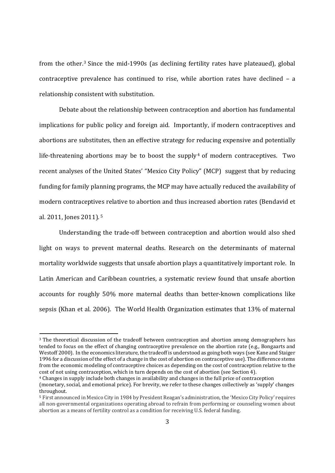from the other.<sup>3</sup> Since the mid-1990s (as declining fertility rates have plateaued), global contraceptive prevalence has continued to rise, while abortion rates have declined - a relationship consistent with substitution.

Debate about the relationship between contraception and abortion has fundamental implications for public policy and foreign aid. Importantly, if modern contraceptives and abortions are substitutes, then an effective strategy for reducing expensive and potentially life-threatening abortions may be to boost the supply<sup>4</sup> of modern contraceptives. Two recent analyses of the United States' "Mexico City Policy" (MCP) suggest that by reducing funding for family planning programs, the MCP may have actually reduced the availability of modern contraceptives relative to abortion and thus increased abortion rates (Bendavid et al. 2011, Jones 2011).<sup>5</sup>

Understanding the trade-off between contraception and abortion would also shed light on ways to prevent maternal deaths. Research on the determinants of maternal mortality worldwide suggests that unsafe abortion plays a quantitatively important role. In Latin American and Caribbean countries, a systematic review found that unsafe abortion accounts for roughly 50% more maternal deaths than better-known complications like sepsis (Khan et al. 2006). The World Health Organization estimates that 13% of maternal

<sup>&</sup>lt;sup>3</sup> The theoretical discussion of the tradeoff between contraception and abortion among demographers has tended to focus on the effect of changing contraceptive prevalence on the abortion rate (e.g., Bongaarts and Westoff 2000). In the economics literature, the tradeoff is understood as going both ways (see Kane and Staiger 1996 for a discussion of the effect of a change in the cost of abortion on contraceptive use). The difference stems from the economic modeling of contraceptive choices as depending on the cost of contraception relative to the cost of not using contraception, which in turn depends on the cost of abortion (see Section 4).

<sup>&</sup>lt;sup>4</sup> Changes in supply include both changes in availability and changes in the full price of contraception

<sup>(</sup>monetary, social, and emotional price). For brevity, we refer to these changes collectively as 'supply' changes throughout. 

<sup>&</sup>lt;sup>5</sup> First announced in Mexico City in 1984 by President Reagan's administration, the 'Mexico City Policy' requires all non-governmental organizations operating abroad to refrain from performing or counseling women about abortion as a means of fertility control as a condition for receiving U.S. federal funding.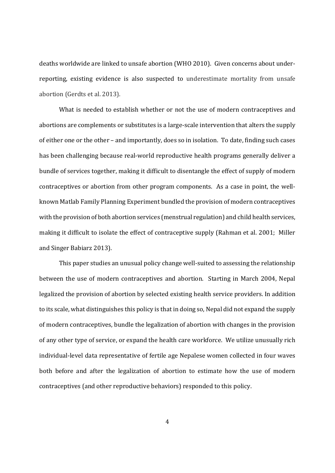deaths worldwide are linked to unsafe abortion (WHO 2010). Given concerns about underreporting, existing evidence is also suspected to underestimate mortality from unsafe abortion (Gerdts et al. 2013).

What is needed to establish whether or not the use of modern contraceptives and abortions are complements or substitutes is a large-scale intervention that alters the supply of either one or the other – and importantly, does so in isolation. To date, finding such cases has been challenging because real-world reproductive health programs generally deliver a bundle of services together, making it difficult to disentangle the effect of supply of modern contraceptives or abortion from other program components. As a case in point, the wellknown Matlab Family Planning Experiment bundled the provision of modern contraceptives with the provision of both abortion services (menstrual regulation) and child health services, making it difficult to isolate the effect of contraceptive supply (Rahman et al. 2001; Miller and Singer Babiarz 2013).

This paper studies an unusual policy change well-suited to assessing the relationship between the use of modern contraceptives and abortion. Starting in March 2004, Nepal legalized the provision of abortion by selected existing health service providers. In addition to its scale, what distinguishes this policy is that in doing so, Nepal did not expand the supply of modern contraceptives, bundle the legalization of abortion with changes in the provision of any other type of service, or expand the health care workforce. We utilize unusually rich individual-level data representative of fertile age Nepalese women collected in four waves both before and after the legalization of abortion to estimate how the use of modern contraceptives (and other reproductive behaviors) responded to this policy.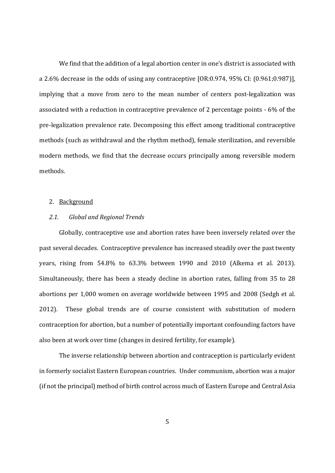We find that the addition of a legal abortion center in one's district is associated with a 2.6% decrease in the odds of using any contraceptive  $[OR:0.974, 95\%$  CI:  $(0.961;0.987)]$ , implying that a move from zero to the mean number of centers post-legalization was associated with a reduction in contraceptive prevalence of 2 percentage points  $-6\%$  of the pre-legalization prevalence rate. Decomposing this effect among traditional contraceptive methods (such as withdrawal and the rhythm method), female sterilization, and reversible modern methods, we find that the decrease occurs principally among reversible modern methods. 

#### 2. Background

#### *2.1. Global and Regional Trends*

Globally, contraceptive use and abortion rates have been inversely related over the past several decades. Contraceptive prevalence has increased steadily over the past twenty years, rising from 54.8% to 63.3% between 1990 and 2010 (Alkema et al. 2013). Simultaneously, there has been a steady decline in abortion rates, falling from 35 to 28 abortions per 1,000 women on average worldwide between 1995 and 2008 (Sedgh et al. 2012). These global trends are of course consistent with substitution of modern contraception for abortion, but a number of potentially important confounding factors have also been at work over time (changes in desired fertility, for example).

The inverse relationship between abortion and contraception is particularly evident in formerly socialist Eastern European countries. Under communism, abortion was a major (if not the principal) method of birth control across much of Eastern Europe and Central Asia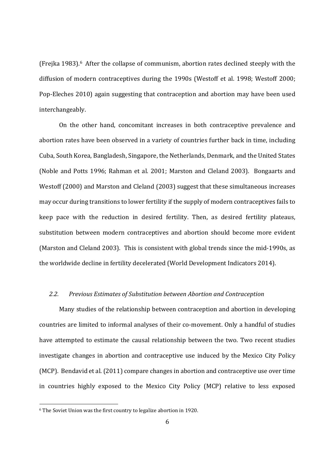(Frejka 1983).<sup>6</sup> After the collapse of communism, abortion rates declined steeply with the diffusion of modern contraceptives during the 1990s (Westoff et al. 1998; Westoff 2000; Pop-Eleches 2010) again suggesting that contraception and abortion may have been used interchangeably. 

On the other hand, concomitant increases in both contraceptive prevalence and abortion rates have been observed in a variety of countries further back in time, including Cuba, South Korea, Bangladesh, Singapore, the Netherlands, Denmark, and the United States (Noble and Potts 1996; Rahman et al. 2001; Marston and Cleland 2003). Bongaarts and Westoff (2000) and Marston and Cleland (2003) suggest that these simultaneous increases may occur during transitions to lower fertility if the supply of modern contraceptives fails to keep pace with the reduction in desired fertility. Then, as desired fertility plateaus, substitution between modern contraceptives and abortion should become more evident (Marston and Cleland 2003). This is consistent with global trends since the mid-1990s, as the worldwide decline in fertility decelerated (World Development Indicators 2014).

#### *2.2. Previous Estimates of Substitution between Abortion and Contraception*

Many studies of the relationship between contraception and abortion in developing countries are limited to informal analyses of their co-movement. Only a handful of studies have attempted to estimate the causal relationship between the two. Two recent studies investigate changes in abortion and contraceptive use induced by the Mexico City Policy (MCP). Bendavid et al. (2011) compare changes in abortion and contraceptive use over time in countries highly exposed to the Mexico City Policy (MCP) relative to less exposed

 $6$  The Soviet Union was the first country to legalize abortion in 1920.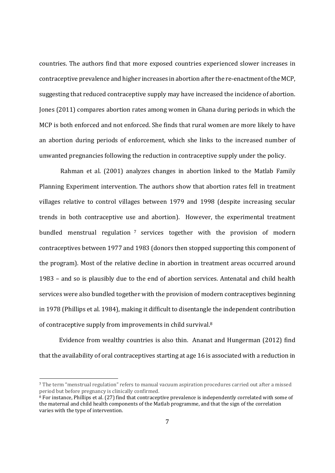countries. The authors find that more exposed countries experienced slower increases in contraceptive prevalence and higher increases in abortion after the re-enactment of the MCP, suggesting that reduced contraceptive supply may have increased the incidence of abortion. Jones (2011) compares abortion rates among women in Ghana during periods in which the MCP is both enforced and not enforced. She finds that rural women are more likely to have an abortion during periods of enforcement, which she links to the increased number of unwanted pregnancies following the reduction in contraceptive supply under the policy.

Rahman et al. (2001) analyzes changes in abortion linked to the Matlab Family Planning Experiment intervention. The authors show that abortion rates fell in treatment villages relative to control villages between 1979 and 1998 (despite increasing secular trends in both contraceptive use and abortion). However, the experimental treatment bundled menstrual regulation  $\frac{7}{7}$  services together with the provision of modern contraceptives between 1977 and 1983 (donors then stopped supporting this component of the program). Most of the relative decline in abortion in treatment areas occurred around 1983 – and so is plausibly due to the end of abortion services. Antenatal and child health services were also bundled together with the provision of modern contraceptives beginning in 1978 (Phillips et al. 1984), making it difficult to disentangle the independent contribution of contraceptive supply from improvements in child survival. $8$ 

Evidence from wealthy countries is also thin. Ananat and Hungerman (2012) find that the availability of oral contraceptives starting at age 16 is associated with a reduction in

<sup>&</sup>lt;sup>7</sup> The term "menstrual regulation" refers to manual vacuum aspiration procedures carried out after a missed period but before pregnancy is clinically confirmed.

 $8$  For instance, Phillips et al. (27) find that contraceptive prevalence is independently correlated with some of the maternal and child health components of the Matlab programme, and that the sign of the correlation varies with the type of intervention.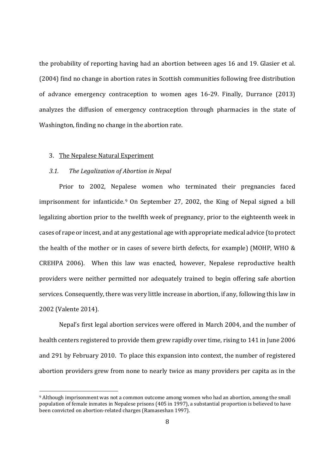the probability of reporting having had an abortion between ages 16 and 19. Glasier et al. (2004) find no change in abortion rates in Scottish communities following free distribution of advance emergency contraception to women ages  $16-29$ . Finally, Durrance  $(2013)$ analyzes the diffusion of emergency contraception through pharmacies in the state of Washington, finding no change in the abortion rate.

#### 3. The Nepalese Natural Experiment

 

#### *3.1. The Legalization of Abortion in Nepal*

Prior to 2002, Nepalese women who terminated their pregnancies faced imprisonment for infanticide.  $9$  On September 27, 2002, the King of Nepal signed a bill legalizing abortion prior to the twelfth week of pregnancy, prior to the eighteenth week in cases of rape or incest, and at any gestational age with appropriate medical advice (to protect the health of the mother or in cases of severe birth defects, for example) (MOHP, WHO  $&$ CREHPA 2006). When this law was enacted, however, Nepalese reproductive health providers were neither permitted nor adequately trained to begin offering safe abortion services. Consequently, there was very little increase in abortion, if any, following this law in 2002 (Valente 2014).

Nepal's first legal abortion services were offered in March 2004, and the number of health centers registered to provide them grew rapidly over time, rising to 141 in June 2006 and 291 by February 2010. To place this expansion into context, the number of registered abortion providers grew from none to nearly twice as many providers per capita as in the

<sup>&</sup>lt;sup>9</sup> Although imprisonment was not a common outcome among women who had an abortion, among the small population of female inmates in Nepalese prisons  $(405 \text{ in } 1997)$ , a substantial proportion is believed to have been convicted on abortion-related charges (Ramaseshan 1997).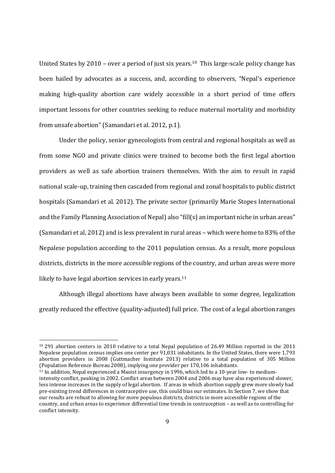United States by 2010 – over a period of just six years.<sup>10</sup> This large-scale policy change has been hailed by advocates as a success, and, according to observers, "Nepal's experience making high-quality abortion care widely accessible in a short period of time offers important lessons for other countries seeking to reduce maternal mortality and morbidity from unsafe abortion" (Samandari et al. 2012, p.1).

Under the policy, senior gynecologists from central and regional hospitals as well as from some NGO and private clinics were trained to become both the first legal abortion providers as well as safe abortion trainers themselves. With the aim to result in rapid national scale-up, training then cascaded from regional and zonal hospitals to public district hospitals (Samandari et al. 2012). The private sector (primarily Marie Stopes International and the Family Planning Association of Nepal) also "fill(s) an important niche in urban areas" (Samandari et al, 2012) and is less prevalent in rural areas – which were home to  $83%$  of the Nepalese population according to the 2011 population census. As a result, more populous districts, districts in the more accessible regions of the country, and urban areas were more likely to have legal abortion services in early years.<sup>11</sup>

Although illegal abortions have always been available to some degree, legalization greatly reduced the effective (quality-adjusted) full price. The cost of a legal abortion ranges

<sup>&</sup>lt;sup>10</sup> 291 abortion centers in 2010 relative to a total Nepal population of 26.49 Million reported in the 2011 Nepalese population census implies one center per 91,031 inhabitants. In the United States, there were 1,793 abortion providers in 2008 (Guttmacher Institute 2013) relative to a total population of 305 Million (Population Reference Bureau 2008), implying one provider per 170,106 inhabitants.

 $11$  In addition, Nepal experienced a Maoist insurgency in 1996, which led to a 10-year low- to mediumintensity conflict, peaking in 2002. Conflict areas between 2004 and 2006 may have also experienced slower, less intense increases in the supply of legal abortion. If areas in which abortion supply grew more slowly had pre-existing trend differences in contraceptive use, this could bias our estimates. In Section 7, we show that our results are robust to allowing for more populous districts, districts in more accessible regions of the country, and urban areas to experience differential time trends in contraception – as well as to controlling for conflict intensity.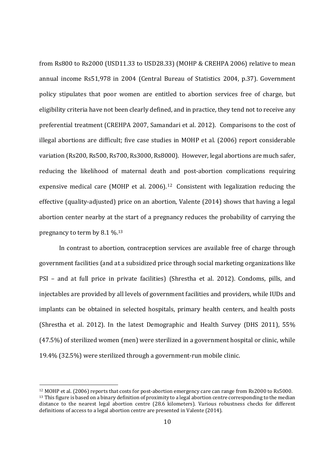from Rs800 to Rs2000 (USD11.33 to USD28.33) (MOHP & CREHPA 2006) relative to mean annual income Rs51,978 in 2004 (Central Bureau of Statistics 2004, p.37). Government policy stipulates that poor women are entitled to abortion services free of charge, but eligibility criteria have not been clearly defined, and in practice, they tend not to receive any preferential treatment (CREHPA 2007, Samandari et al. 2012). Comparisons to the cost of illegal abortions are difficult; five case studies in MOHP et al.  $(2006)$  report considerable variation (Rs200, Rs500, Rs700, Rs3000, Rs8000). However, legal abortions are much safer, reducing the likelihood of maternal death and post-abortion complications requiring expensive medical care (MOHP et al.  $2006$ ).<sup>12</sup> Consistent with legalization reducing the effective (quality-adjusted) price on an abortion, Valente (2014) shows that having a legal abortion center nearby at the start of a pregnancy reduces the probability of carrying the pregnancy to term by  $8.1\%$ .<sup>13</sup>

In contrast to abortion, contraception services are available free of charge through government facilities (and at a subsidized price through social marketing organizations like PSI – and at full price in private facilities) (Shrestha et al. 2012). Condoms, pills, and injectables are provided by all levels of government facilities and providers, while IUDs and implants can be obtained in selected hospitals, primary health centers, and health posts (Shrestha et al. 2012). In the latest Demographic and Health Survey (DHS 2011),  $55\%$  $(47.5%)$  of sterilized women (men) were sterilized in a government hospital or clinic, while 19.4% (32.5%) were sterilized through a government-run mobile clinic.

<sup>&</sup>lt;sup>12</sup> MOHP et al. (2006) reports that costs for post-abortion emergency care can range from Rs2000 to Rs5000.  $13$  This figure is based on a binary definition of proximity to a legal abortion centre corresponding to the median distance to the nearest legal abortion centre  $(28.6 \text{ kilometers})$ . Various robustness checks for different definitions of access to a legal abortion centre are presented in Valente (2014).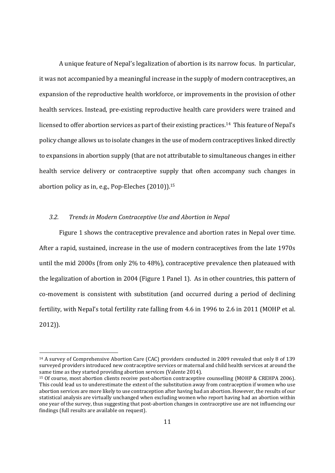A unique feature of Nepal's legalization of abortion is its narrow focus. In particular, it was not accompanied by a meaningful increase in the supply of modern contraceptives, an expansion of the reproductive health workforce, or improvements in the provision of other health services. Instead, pre-existing reproductive health care providers were trained and licensed to offer abortion services as part of their existing practices.<sup>14</sup> This feature of Nepal's policy change allows us to isolate changes in the use of modern contraceptives linked directly to expansions in abortion supply (that are not attributable to simultaneous changes in either health service delivery or contraceptive supply that often accompany such changes in abortion policy as in, e.g., Pop-Eleches  $(2010)$ ).<sup>15</sup>

#### *3.2. Trends in Modern Contraceptive Use and Abortion in Nepal*

 

Figure 1 shows the contraceptive prevalence and abortion rates in Nepal over time. After a rapid, sustained, increase in the use of modern contraceptives from the late 1970s until the mid 2000s (from only  $2\%$  to  $48\%$ ), contraceptive prevalence then plateaued with the legalization of abortion in 2004 (Figure 1 Panel 1). As in other countries, this pattern of co-movement is consistent with substitution (and occurred during a period of declining fertility, with Nepal's total fertility rate falling from 4.6 in 1996 to 2.6 in 2011 (MOHP et al. 2012)). 

<sup>&</sup>lt;sup>14</sup> A survey of Comprehensive Abortion Care (CAC) providers conducted in 2009 revealed that only 8 of 139 surveyed providers introduced new contraceptive services or maternal and child health services at around the same time as they started providing abortion services (Valente 2014).

<sup>15</sup> Of course, most abortion clients receive post-abortion contraceptive counselling (MOHP & CREHPA 2006). This could lead us to underestimate the extent of the substitution away from contraception if women who use abortion services are more likely to use contraception after having had an abortion. However, the results of our statistical analysis are virtually unchanged when excluding women who report having had an abortion within one year of the survey, thus suggesting that post-abortion changes in contraceptive use are not influencing our findings (full results are available on request).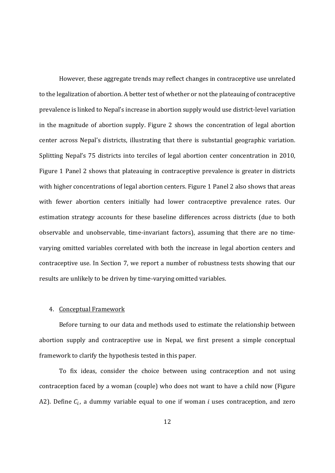However, these aggregate trends may reflect changes in contraceptive use unrelated to the legalization of abortion. A better test of whether or not the plateauing of contraceptive prevalence is linked to Nepal's increase in abortion supply would use district-level variation in the magnitude of abortion supply. Figure 2 shows the concentration of legal abortion center across Nepal's districts, illustrating that there is substantial geographic variation. Splitting Nepal's 75 districts into terciles of legal abortion center concentration in 2010, Figure 1 Panel 2 shows that plateauing in contraceptive prevalence is greater in districts with higher concentrations of legal abortion centers. Figure 1 Panel 2 also shows that areas with fewer abortion centers initially had lower contraceptive prevalence rates. Our estimation strategy accounts for these baseline differences across districts (due to both observable and unobservable, time-invariant factors), assuming that there are no timevarying omitted variables correlated with both the increase in legal abortion centers and contraceptive use. In Section 7, we report a number of robustness tests showing that our results are unlikely to be driven by time-varying omitted variables.

#### 4. Conceptual Framework

Before turning to our data and methods used to estimate the relationship between abortion supply and contraceptive use in Nepal, we first present a simple conceptual framework to clarify the hypothesis tested in this paper.

To fix ideas, consider the choice between using contraception and not using contraception faced by a woman (couple) who does not want to have a child now (Figure A2). Define  $C_i$ , a dummy variable equal to one if woman *i* uses contraception, and zero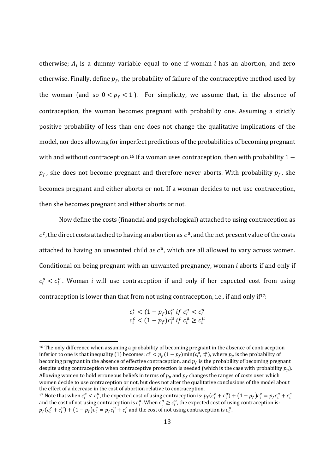otherwise;  $A_i$  is a dummy variable equal to one if woman *i* has an abortion, and zero otherwise. Finally, define  $p_f$ , the probability of failure of the contraceptive method used by the woman (and so  $0 < p_f < 1$ ). For simplicity, we assume that, in the absence of contraception, the woman becomes pregnant with probability one. Assuming a strictly positive probability of less than one does not change the qualitative implications of the model, nor does allowing for imperfect predictions of the probabilities of becoming pregnant with and without contraception.<sup>16</sup> If a woman uses contraception, then with probability  $1$  $p_f$ , she does not become pregnant and therefore never aborts. With probability  $p_f$ , she becomes pregnant and either aborts or not. If a woman decides to not use contraception, then she becomes pregnant and either aborts or not.

Now define the costs (financial and psychological) attached to using contraception as  $c<sup>c</sup>$ , the direct costs attached to having an abortion as  $c<sup>a</sup>$ , and the net present value of the costs attached to having an unwanted child as  $c^u$ , which are all allowed to vary across women. Conditional on being pregnant with an unwanted pregnancy, woman  $i$  aborts if and only if  $c_i^a < c_i^u$ . Woman *i* will use contraception if and only if her expected cost from using contraception is lower than that from not using contraception, i.e., if and only  $if^{17}$ :

$$
c_i^c < (1 - p_f)c_i^a \text{ if } c_i^a < c_i^u
$$
\n
$$
c_i^c < (1 - p_f)c_i^u \text{ if } c_i^a \ge c_i^u
$$

<sup>&</sup>lt;sup>16</sup> The only difference when assuming a probability of becoming pregnant in the absence of contraception inferior to one is that inequality (1) becomes:  $c_i^c < p_p(1-p_f)\min(c_i^a,c_i^u)$ , where  $p_p$  is the probability of becoming pregnant in the absence of effective contraception, and  $p_f$  is the probability of becoming pregnant despite using contraception when contraceptive protection is needed (which is the case with probability  $p_n$ ). Allowing women to hold erroneous beliefs in terms of  $p_p$  and  $p_f$  changes the ranges of costs over which women decide to use contraception or not, but does not alter the qualitative conclusions of the model about the effect of a decrease in the cost of abortion relative to contraception.

<sup>&</sup>lt;sup>17</sup> Note that when  $c_i^a < c_i^u$ , the expected cost of using contraception is:  $p_f(c_i^c + c_i^a) + (1 - p_f)c_i^c = p_f c_i^a + c_i^c$ and the cost of not using contraception is  $c_i^a$ . When  $c_i^a \geq c_i^u$ , the expected cost of using contraception is:  $p_f(c_i^c + c_i^u) + (1 - p_f)c_i^c = p_f c_i^u + c_i^c$  and the cost of not using contraception is  $c_i^u$ .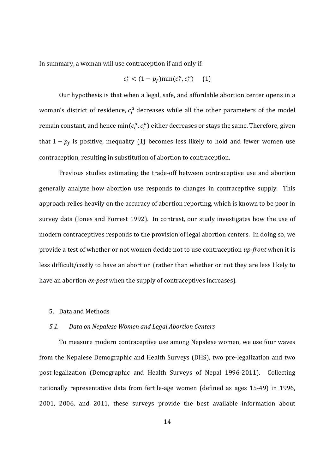In summary, a woman will use contraception if and only if:

$$
c_i^c < (1 - p_f) \min(c_i^a, c_i^u) \quad (1)
$$

Our hypothesis is that when a legal, safe, and affordable abortion center opens in a woman's district of residence,  $c_i^a$  decreases while all the other parameters of the model remain constant, and hence  $\min(c_i^a, c_i^u)$  either decreases or stays the same. Therefore, given that  $1 - p_f$  is positive, inequality (1) becomes less likely to hold and fewer women use contraception, resulting in substitution of abortion to contraception.

Previous studies estimating the trade-off between contraceptive use and abortion generally analyze how abortion use responds to changes in contraceptive supply. This approach relies heavily on the accuracy of abortion reporting, which is known to be poor in survey data (Jones and Forrest 1992). In contrast, our study investigates how the use of modern contraceptives responds to the provision of legal abortion centers. In doing so, we provide a test of whether or not women decide not to use contraception *up-front* when it is less difficult/costly to have an abortion (rather than whether or not they are less likely to have an abortion *ex-post* when the supply of contraceptives increases).

#### 5. Data and Methods

#### *5.1. Data on Nepalese Women and Legal Abortion Centers*

To measure modern contraceptive use among Nepalese women, we use four waves from the Nepalese Demographic and Health Surveys (DHS), two pre-legalization and two post-legalization (Demographic and Health Surveys of Nepal 1996-2011). Collecting nationally representative data from fertile-age women (defined as ages 15-49) in 1996, 2001, 2006, and 2011, these surveys provide the best available information about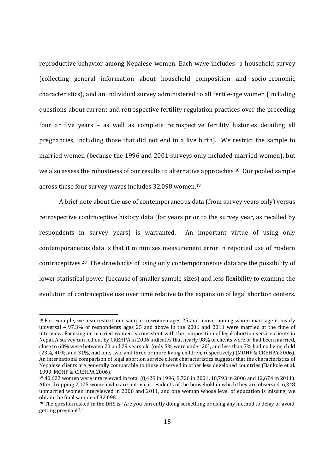reproductive behavior among Nepalese women. Each wave includes a household survey (collecting general information about household composition and socio‐economic characteristics), and an individual survey administered to all fertile-age women (including questions about current and retrospective fertility regulation practices over the preceding four or five years – as well as complete retrospective fertility histories detailing all pregnancies, including those that did not end in a live birth). We restrict the sample to married women (because the 1996 and 2001 surveys only included married women), but we also assess the robustness of our results to alternative approaches.<sup>18</sup> Our pooled sample across these four survey waves includes 32,098 women.<sup>19</sup>

A brief note about the use of contemporaneous data (from survey years only) versus retrospective contraceptive history data (for years prior to the survey year, as recalled by respondents in survey years) is warranted. An important virtue of using only contemporaneous data is that it minimizes measurement error in reported use of modern contraceptives.<sup>20</sup> The drawbacks of using only contemporaneous data are the possibility of lower statistical power (because of smaller sample sizes) and less flexibility to examine the evolution of contraceptive use over time relative to the expansion of legal abortion centers.

 $18$  For example, we also restrict our sample to women ages 25 and above, among whom marriage is nearly universal  $-97.3\%$  of respondents ages 25 and above in the 2006 and 2011 were married at the time of interview. Focusing on married women is consistent with the composition of legal abortion service clients in Nepal. A survey carried out by CREHPA in 2006 indicates that nearly 98% of clients were or had been married, close to 60% were between 20 and 29 years old (only 5% were under 20), and less than 7% had no living child (23%, 40%, and 31%, had one, two, and three or more living children, respectively) (MOHP & CREHPA 2006). An international comparison of legal abortion service client characteristics suggests that the characteristics of Nepalese clients are generally comparable to those observed in other less developed countries (Bankole et al. 1999, MOHP & CREHPA 2006).

 $19\,40,622$  women were interviewed in total  $(8,429 \text{ in } 1996, 8,726 \text{ in } 2001, 10,793 \text{ in } 2006 \text{ and } 12,674 \text{ in } 2011)$ . After dropping 2,175 women who are not usual residents of the household in which they are observed, 6,348 unmarried women interviewed in 2006 and 2011, and one woman whose level of education is missing, we obtain the final sample of 32,098.

 $20$  The question asked in the DHS is "Are you currently doing something or using any method to delay or avoid getting pregnant?,"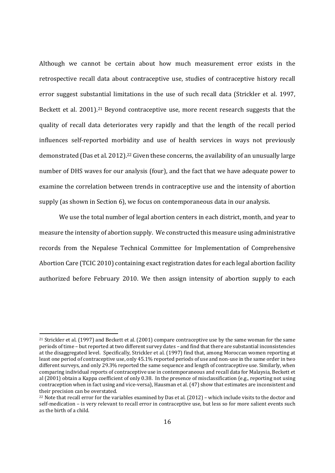Although we cannot be certain about how much measurement error exists in the retrospective recall data about contraceptive use, studies of contraceptive history recall error suggest substantial limitations in the use of such recall data (Strickler et al. 1997, Beckett et al. 2001).<sup>21</sup> Beyond contraceptive use, more recent research suggests that the quality of recall data deteriorates very rapidly and that the length of the recall period influences self-reported morbidity and use of health services in ways not previously demonstrated (Das et al. 2012).<sup>22</sup> Given these concerns, the availability of an unusually large number of DHS waves for our analysis (four), and the fact that we have adequate power to examine the correlation between trends in contraceptive use and the intensity of abortion supply (as shown in Section 6), we focus on contemporaneous data in our analysis.

We use the total number of legal abortion centers in each district, month, and year to measure the intensity of abortion supply. We constructed this measure using administrative records from the Nepalese Technical Committee for Implementation of Comprehensive Abortion Care (TCIC 2010) containing exact registration dates for each legal abortion facility authorized before February 2010. We then assign intensity of abortion supply to each

<sup>&</sup>lt;sup>21</sup> Strickler et al. (1997) and Beckett et al. (2001) compare contraceptive use by the same woman for the same periods of time – but reported at two different survey dates – and find that there are substantial inconsistencies at the disaggregated level. Specifically, Strickler et al. (1997) find that, among Moroccan women reporting at least one period of contraceptive use, only 45.1% reported periods of use and non-use in the same order in two different surveys, and only 29.3% reported the same sequence and length of contraceptive use. Similarly, when comparing individual reports of contraceptive use in contemporaneous and recall data for Malaysia, Beckett et al  $(2001)$  obtain a Kappa coefficient of only 0.38. In the presence of misclassification (e.g., reporting not using contraception when in fact using and vice-versa), Hausman et al. (47) show that estimates are inconsistent and their precision can be overstated.

<sup>&</sup>lt;sup>22</sup> Note that recall error for the variables examined by Das et al. (2012) – which include visits to the doctor and self-medication – is very relevant to recall error in contraceptive use, but less so for more salient events such as the birth of a child.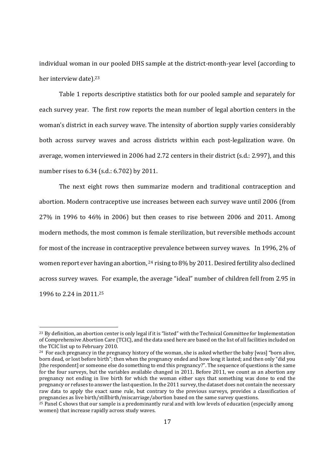individual woman in our pooled DHS sample at the district-month-year level (according to her interview date).<sup>23</sup>

Table 1 reports descriptive statistics both for our pooled sample and separately for each survey year. The first row reports the mean number of legal abortion centers in the woman's district in each survey wave. The intensity of abortion supply varies considerably both across survey waves and across districts within each post-legalization wave. On average, women interviewed in 2006 had 2.72 centers in their district (s.d.: 2.997), and this number rises to  $6.34$  (s.d.:  $6.702$ ) by  $2011$ .

The next eight rows then summarize modern and traditional contraception and abortion. Modern contraceptive use increases between each survey wave until 2006 (from  $27\%$  in 1996 to 46% in 2006) but then ceases to rise between 2006 and 2011. Among modern methods, the most common is female sterilization, but reversible methods account for most of the increase in contraceptive prevalence between survey waves. In 1996, 2% of women report ever having an abortion,  $24$  rising to  $8\%$  by 2011. Desired fertility also declined across survey waves. For example, the average "ideal" number of children fell from 2.95 in 1996 to 2.24 in 2011.<sup>25</sup>

<sup>&</sup>lt;sup>23</sup> By definition, an abortion center is only legal if it is "listed" with the Technical Committee for Implementation of Comprehensive Abortion Care (TCIC), and the data used here are based on the list of all facilities included on the TCIC list up to February 2010.

<sup>&</sup>lt;sup>24</sup> For each pregnancy in the pregnancy history of the woman, she is asked whether the baby [was] "born alive, born dead, or lost before birth"; then when the pregnancy ended and how long it lasted; and then only "did you [the respondent] or someone else do something to end this pregnancy?". The sequence of questions is the same for the four surveys, but the variables available changed in 2011. Before 2011, we count as an abortion any pregnancy not ending in live birth for which the woman either says that something was done to end the pregnancy or refuses to answer the last question. In the 2011 survey, the dataset does not contain the necessary raw data to apply the exact same rule, but contrary to the previous surveys, provides a classification of pregnancies as live birth/stillbirth/miscarriage/abortion based on the same survey questions.

<sup>&</sup>lt;sup>25</sup> Panel C shows that our sample is a predominantly rural and with low levels of education (especially among women) that increase rapidly across study waves.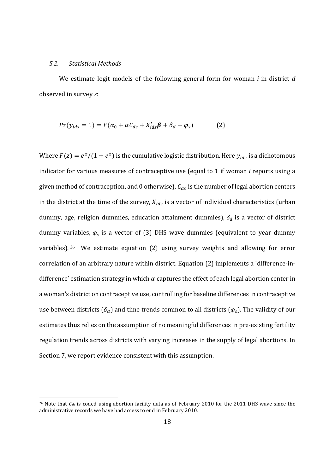#### *5.2. Statistical Methods*

 

We estimate logit models of the following general form for woman *i* in district *d* observed in survey *s*:

$$
Pr(y_{ids} = 1) = F(\alpha_0 + \alpha C_{ds} + X'_{ids}\boldsymbol{\beta} + \delta_d + \varphi_s)
$$
 (2)

Where  $F(z) = e^{z}/(1 + e^{z})$  is the cumulative logistic distribution. Here  $y_{ids}$  is a dichotomous indicator for various measures of contraceptive use (equal to 1 if woman *i* reports using a given method of contraception, and 0 otherwise),  $C_{ds}$  is the number of legal abortion centers in the district at the time of the survey,  $X_{ids}$  is a vector of individual characteristics (urban dummy, age, religion dummies, education attainment dummies),  $\delta_d$  is a vector of district dummy variables,  $\varphi_s$  is a vector of (3) DHS wave dummies (equivalent to year dummy variables). <sup>26</sup> We estimate equation  $(2)$  using survey weights and allowing for error correlation of an arbitrary nature within district. Equation (2) implements a `difference-indifference' estimation strategy in which  $\alpha$  captures the effect of each legal abortion center in a woman's district on contraceptive use, controlling for baseline differences in contraceptive use between districts  $(\delta_d)$  and time trends common to all districts  $(\varphi_s)$ . The validity of our estimates thus relies on the assumption of no meaningful differences in pre-existing fertility regulation trends across districts with varying increases in the supply of legal abortions. In Section 7, we report evidence consistent with this assumption.

<sup>&</sup>lt;sup>26</sup> Note that  $C_{ds}$  is coded using abortion facility data as of February 2010 for the 2011 DHS wave since the administrative records we have had access to end in February 2010.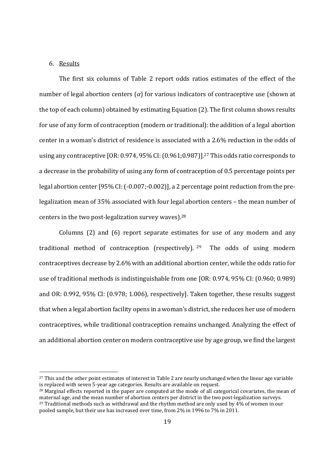## 6. Results

 

The first six columns of Table 2 report odds ratios estimates of the effect of the number of legal abortion centers  $(\alpha)$  for various indicators of contraceptive use (shown at the top of each column) obtained by estimating Equation  $(2)$ . The first column shows results for use of any form of contraception (modern or traditional): the addition of a legal abortion center in a woman's district of residence is associated with a 2.6% reduction in the odds of using any contraceptive  $[OR: 0.974, 95\% CI: (0.961; 0.987)]$ .<sup>27</sup> This odds ratio corresponds to a decrease in the probability of using any form of contraception of 0.5 percentage points per legal abortion center [95% CI: (-0.007;-0.002)], a 2 percentage point reduction from the prelegalization mean of 35% associated with four legal abortion centers – the mean number of centers in the two post-legalization survey waves). $28$ 

Columns  $(2)$  and  $(6)$  report separate estimates for use of any modern and any traditional method of contraception (respectively).  $29$  The odds of using modern contraceptives decrease by 2.6% with an additional abortion center, while the odds ratio for use of traditional methods is indistinguishable from one [OR: 0.974, 95% CI: (0.960; 0.989) and OR: 0.992, 95% CI: (0.978; 1.006), respectively]. Taken together, these results suggest that when a legal abortion facility opens in a woman's district, she reduces her use of modern contraceptives, while traditional contraception remains unchanged. Analyzing the effect of an additional abortion center on modern contraceptive use by age group, we find the largest

<sup>&</sup>lt;sup>27</sup> This and the other point estimates of interest in Table 2 are nearly unchanged when the linear age variable is replaced with seven 5-year age categories. Results are available on request.

<sup>&</sup>lt;sup>28</sup> Marginal effects reported in the paper are computed at the mode of all categorical covariates, the mean of maternal age, and the mean number of abortion centers per district in the two post-legalization surveys.  $29$  Traditional methods such as withdrawal and the rhythm method are only used by 4% of women in our pooled sample, but their use has increased over time, from 2% in 1996 to 7% in 2011.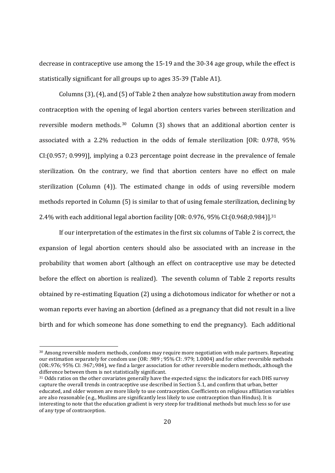decrease in contraceptive use among the 15-19 and the 30-34 age group, while the effect is statistically significant for all groups up to ages 35-39 (Table A1).

Columns  $(3)$ ,  $(4)$ , and  $(5)$  of Table 2 then analyze how substitution away from modern contraception with the opening of legal abortion centers varies between sterilization and reversible modern methods.<sup>30</sup> Column  $(3)$  shows that an additional abortion center is associated with a 2.2% reduction in the odds of female sterilization  $[OR: 0.978, 95\%]$  $CI:(0.957; 0.999)$ ], implying a 0.23 percentage point decrease in the prevalence of female sterilization. On the contrary, we find that abortion centers have no effect on male sterilization (Column  $(4)$ ). The estimated change in odds of using reversible modern methods reported in Column (5) is similar to that of using female sterilization, declining by 2.4% with each additional legal abortion facility  $[OR: 0.976, 95\% CI: (0.968; 0.984)]^{31}$ 

If our interpretation of the estimates in the first six columns of Table 2 is correct, the expansion of legal abortion centers should also be associated with an increase in the probability that women abort (although an effect on contraceptive use may be detected before the effect on abortion is realized). The seventh column of Table 2 reports results obtained by re-estimating Equation (2) using a dichotomous indicator for whether or not a woman reports ever having an abortion (defined as a pregnancy that did not result in a live birth and for which someone has done something to end the pregnancy). Each additional

<sup>30</sup> Among reversible modern methods, condoms may require more negotiation with male partners. Repeating our estimation separately for condom use (OR: .989 ; 95% CI: .979; 1.0004) and for other reversible methods (OR:.976; 95% CI: .967; 984), we find a larger association for other reversible modern methods, although the difference between them is not statistically significant.

<sup>&</sup>lt;sup>31</sup> Odds ratios on the other covariates generally have the expected signs: the indicators for each DHS survey capture the overall trends in contraceptive use described in Section 5.1, and confirm that urban, better educated, and older women are more likely to use contraception. Coefficients on religious affiliation variables are also reasonable (e.g., Muslims are significantly less likely to use contraception than Hindus). It is interesting to note that the education gradient is very steep for traditional methods but much less so for use of any type of contraception.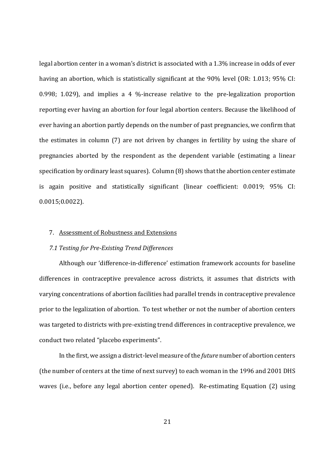legal abortion center in a woman's district is associated with a 1.3% increase in odds of ever having an abortion, which is statistically significant at the 90% level (OR: 1.013; 95% CI: 0.998; 1.029), and implies a 4 %-increase relative to the pre-legalization proportion reporting ever having an abortion for four legal abortion centers. Because the likelihood of ever having an abortion partly depends on the number of past pregnancies, we confirm that the estimates in column  $(7)$  are not driven by changes in fertility by using the share of pregnancies aborted by the respondent as the dependent variable (estimating a linear specification by ordinary least squares). Column  $(8)$  shows that the abortion center estimate is again positive and statistically significant (linear coefficient: 0.0019; 95% CI: 0.0015;0.0022). 

### 7. Assessment of Robustness and Extensions

#### *7.1 Testing for Pre‐Existing Trend Differences*

Although our 'difference-in-difference' estimation framework accounts for baseline differences in contraceptive prevalence across districts, it assumes that districts with varying concentrations of abortion facilities had parallel trends in contraceptive prevalence prior to the legalization of abortion. To test whether or not the number of abortion centers was targeted to districts with pre-existing trend differences in contraceptive prevalence, we conduct two related "placebo experiments".

In the first, we assign a district-level measure of the *future* number of abortion centers (the number of centers at the time of next survey) to each woman in the 1996 and 2001 DHS waves (i.e., before any legal abortion center opened). Re-estimating Equation (2) using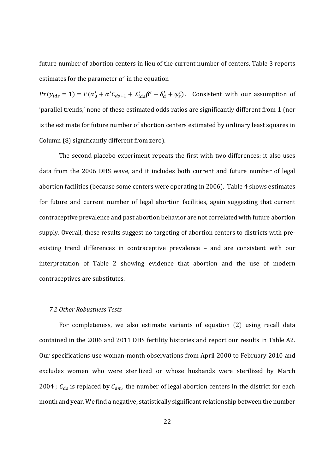future number of abortion centers in lieu of the current number of centers, Table 3 reports estimates for the parameter  $\alpha'$  in the equation

 $Pr(y_{ids} = 1) = F(\alpha'_0 + \alpha' C_{ds+1} + X'_{ids} \beta' + \delta'_d + \varphi'_s)$ . Consistent with our assumption of 'parallel trends,' none of these estimated odds ratios are significantly different from 1 (nor is the estimate for future number of abortion centers estimated by ordinary least squares in Column (8) significantly different from zero).

The second placebo experiment repeats the first with two differences: it also uses data from the 2006 DHS wave, and it includes both current and future number of legal abortion facilities (because some centers were operating in 2006). Table 4 shows estimates for future and current number of legal abortion facilities, again suggesting that current contraceptive prevalence and past abortion behavior are not correlated with future abortion supply. Overall, these results suggest no targeting of abortion centers to districts with preexisting trend differences in contraceptive prevalence – and are consistent with our interpretation of Table 2 showing evidence that abortion and the use of modern contraceptives are substitutes.

#### *7.2 Other Robustness Tests*

For completeness, we also estimate variants of equation (2) using recall data contained in the 2006 and 2011 DHS fertility histories and report our results in Table A2. Our specifications use woman-month observations from April 2000 to February 2010 and excludes women who were sterilized or whose husbands were sterilized by March 2004 ;  $C_{ds}$  is replaced by  $C_{dm}$ , the number of legal abortion centers in the district for each month and year. We find a negative, statistically significant relationship between the number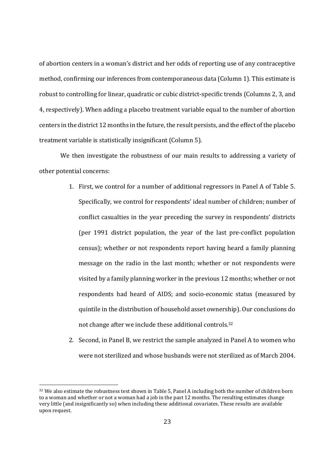of abortion centers in a woman's district and her odds of reporting use of any contraceptive method, confirming our inferences from contemporaneous data (Column 1). This estimate is robust to controlling for linear, quadratic or cubic district-specific trends (Columns 2, 3, and 4, respectively). When adding a placebo treatment variable equal to the number of abortion centers in the district 12 months in the future, the result persists, and the effect of the placebo treatment variable is statistically insignificant (Column 5).

We then investigate the robustness of our main results to addressing a variety of other potential concerns:

- 1. First, we control for a number of additional regressors in Panel A of Table 5. Specifically, we control for respondents' ideal number of children; number of conflict casualties in the year preceding the survey in respondents' districts (per 1991 district population, the year of the last pre-conflict population census); whether or not respondents report having heard a family planning message on the radio in the last month; whether or not respondents were visited by a family planning worker in the previous 12 months; whether or not respondents had heard of AIDS; and socio-economic status (measured by quintile in the distribution of household asset ownership). Our conclusions do not change after we include these additional controls.<sup>32</sup>
- 2. Second, in Panel B, we restrict the sample analyzed in Panel A to women who were not sterilized and whose husbands were not sterilized as of March 2004.

<sup>&</sup>lt;sup>32</sup> We also estimate the robustness test shown in Table 5, Panel A including both the number of children born to a woman and whether or not a woman had a job in the past 12 months. The resulting estimates change very little (and insignificantly so) when including these additional covariates. These results are available upon request.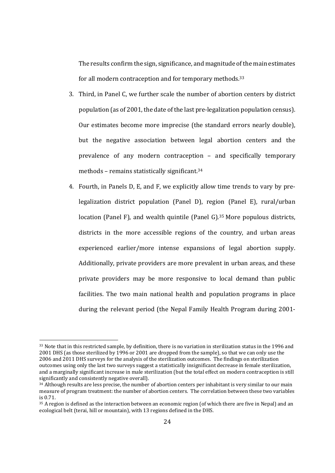The results confirm the sign, significance, and magnitude of the main estimates for all modern contraception and for temporary methods. $33$ 

- 3. Third, in Panel C, we further scale the number of abortion centers by district population (as of 2001, the date of the last pre-legalization population census). Our estimates become more imprecise (the standard errors nearly double), but the negative association between legal abortion centers and the prevalence of any modern contraception – and specifically temporary methods – remains statistically significant.<sup>34</sup>
- 4. Fourth, in Panels D, E, and F, we explicitly allow time trends to vary by prelegalization district population (Panel D), region (Panel E), rural/urban location (Panel F), and wealth quintile (Panel G).<sup>35</sup> More populous districts, districts in the more accessible regions of the country, and urban areas experienced earlier/more intense expansions of legal abortion supply. Additionally, private providers are more prevalent in urban areas, and these private providers may be more responsive to local demand than public facilities. The two main national health and population programs in place during the relevant period (the Nepal Family Health Program during 2001-

<sup>33</sup> Note that in this restricted sample, by definition, there is no variation in sterilization status in the 1996 and 2001 DHS (as those sterilized by 1996 or 2001 are dropped from the sample), so that we can only use the 2006 and 2011 DHS surveys for the analysis of the sterilization outcomes. The findings on sterilization outcomes using only the last two surveys suggest a statistically insignificant decrease in female sterilization, and a marginally significant increase in male sterilization (but the total effect on modern contraception is still significantly and consistently negative overall).

 $34$  Although results are less precise, the number of abortion centers per inhabitant is very similar to our main measure of program treatment: the number of abortion centers. The correlation between these two variables is 0.71. 

<sup>&</sup>lt;sup>35</sup> A region is defined as the interaction between an economic region (of which there are five in Nepal) and an ecological belt (terai, hill or mountain), with 13 regions defined in the DHS.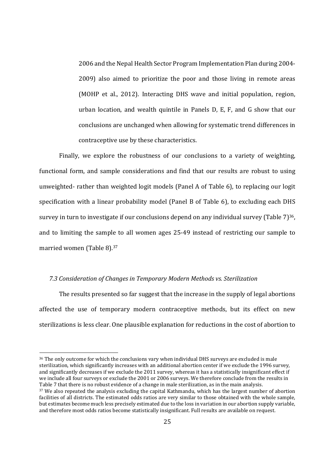2006 and the Nepal Health Sector Program Implementation Plan during 2004-2009) also aimed to prioritize the poor and those living in remote areas (MOHP et al., 2012). Interacting DHS wave and initial population, region, urban location, and wealth quintile in Panels D, E, F, and G show that our conclusions are unchanged when allowing for systematic trend differences in contraceptive use by these characteristics.

Finally, we explore the robustness of our conclusions to a variety of weighting, functional form, and sample considerations and find that our results are robust to using unweighted- rather than weighted logit models (Panel A of Table 6), to replacing our logit specification with a linear probability model (Panel B of Table 6), to excluding each DHS survey in turn to investigate if our conclusions depend on any individual survey (Table  $7^{36}$ , and to limiting the sample to all women ages 25-49 instead of restricting our sample to married women (Table 8).<sup>37</sup>

#### *7.3 Consideration of Changes in Temporary Modern Methods vs. Sterilization*

 

The results presented so far suggest that the increase in the supply of legal abortions affected the use of temporary modern contraceptive methods, but its effect on new sterilizations is less clear. One plausible explanation for reductions in the cost of abortion to

<sup>&</sup>lt;sup>36</sup> The only outcome for which the conclusions vary when individual DHS surveys are excluded is male sterilization, which significantly increases with an additional abortion center if we exclude the 1996 survey, and significantly decreases if we exclude the 2011 survey, whereas it has a statistically insignificant effect if we include all four surveys or exclude the 2001 or 2006 surveys. We therefore conclude from the results in Table 7 that there is no robust evidence of a change in male sterilization, as in the main analysis.  $37$  We also repeated the analysis excluding the capital Kathmandu, which has the largest number of abortion

facilities of all districts. The estimated odds ratios are very similar to those obtained with the whole sample, but estimates become much less precisely estimated due to the loss in variation in our abortion supply variable. and therefore most odds ratios become statistically insignificant. Full results are available on request.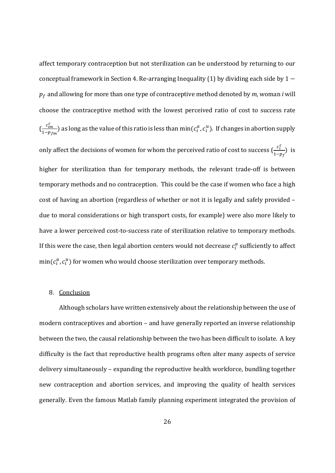affect temporary contraception but not sterilization can be understood by returning to our conceptual framework in Section 4. Re-arranging Inequality (1) by dividing each side by  $1$  $p_f$  and allowing for more than one type of contraceptive method denoted by  $m$ , woman *i* will choose the contraceptive method with the lowest perceived ratio of cost to success rate  $\int_{0}^{c}$  $\frac{c_{lm}^r}{1-p_{fm}}$ ) as long as the value of this ratio is less than  $\min(c_i^a,c_i^u)$ . If changes in abortion supply only affect the decisions of women for whom the perceived ratio of cost to success  $\left(\frac{c_l^c}{c_l^c}\right)$  $\frac{c_i}{1-p_f}$  is higher for sterilization than for temporary methods, the relevant trade-off is between temporary methods and no contraception. This could be the case if women who face a high cost of having an abortion (regardless of whether or not it is legally and safely provided – due to moral considerations or high transport costs, for example) were also more likely to have a lower perceived cost-to-success rate of sterilization relative to temporary methods. If this were the case, then legal abortion centers would not decrease  $c_i^a$  sufficiently to affect  $\min(c_i^a, c_i^u)$  for women who would choose sterilization over temporary methods.

## 8. Conclusion

Although scholars have written extensively about the relationship between the use of modern contraceptives and abortion  $-$  and have generally reported an inverse relationship between the two, the causal relationship between the two has been difficult to isolate. A key difficulty is the fact that reproductive health programs often alter many aspects of service delivery simultaneously - expanding the reproductive health workforce, bundling together new contraception and abortion services, and improving the quality of health services generally. Even the famous Matlab family planning experiment integrated the provision of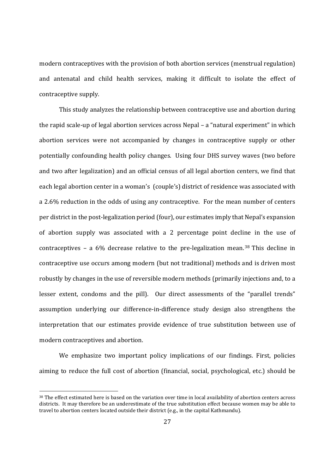modern contraceptives with the provision of both abortion services (menstrual regulation) and antenatal and child health services, making it difficult to isolate the effect of contraceptive supply.

This study analyzes the relationship between contraceptive use and abortion during the rapid scale-up of legal abortion services across Nepal – a "natural experiment" in which abortion services were not accompanied by changes in contraceptive supply or other potentially confounding health policy changes. Using four DHS survey waves (two before and two after legalization) and an official census of all legal abortion centers, we find that each legal abortion center in a woman's (couple's) district of residence was associated with a 2.6% reduction in the odds of using any contraceptive. For the mean number of centers per district in the post-legalization period (four), our estimates imply that Nepal's expansion of abortion supply was associated with a 2 percentage point decline in the use of contraceptives – a  $6\%$  decrease relative to the pre-legalization mean.<sup>38</sup> This decline in contraceptive use occurs among modern (but not traditional) methods and is driven most robustly by changes in the use of reversible modern methods (primarily injections and, to a lesser extent, condoms and the pill). Our direct assessments of the "parallel trends" assumption underlying our difference-in-difference study design also strengthens the interpretation that our estimates provide evidence of true substitution between use of modern contraceptives and abortion.

We emphasize two important policy implications of our findings. First, policies aiming to reduce the full cost of abortion (financial, social, psychological, etc.) should be

<sup>&</sup>lt;sup>38</sup> The effect estimated here is based on the variation over time in local availability of abortion centers across districts. It may therefore be an underestimate of the true substitution effect because women may be able to travel to abortion centers located outside their district  $(e.g.,$  in the capital Kathmandu).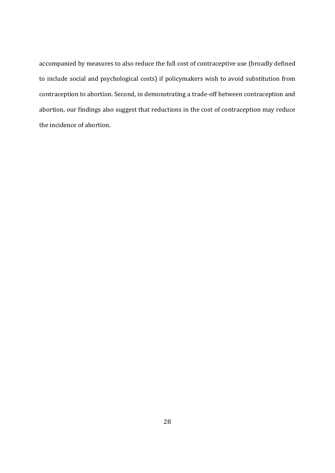accompanied by measures to also reduce the full cost of contraceptive use (broadly defined to include social and psychological costs) if policymakers wish to avoid substitution from contraception to abortion. Second, in demonstrating a trade-off between contraception and abortion, our findings also suggest that reductions in the cost of contraception may reduce the incidence of abortion.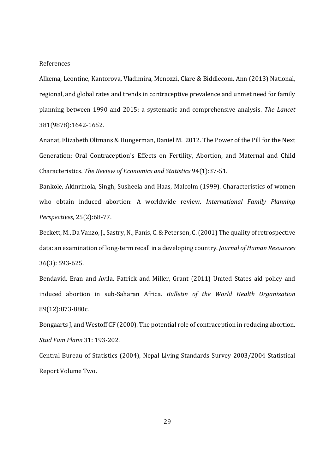#### **References**

Alkema, Leontine, Kantorova, Vladimira, Menozzi, Clare & Biddlecom, Ann (2013) National, regional, and global rates and trends in contraceptive prevalence and unmet need for family planning between 1990 and 2015: a systematic and comprehensive analysis. *The Lancet* 381(9878):1642‐1652. 

Ananat, Elizabeth Oltmans & Hungerman, Daniel M. 2012. The Power of the Pill for the Next Generation: Oral Contraception's Effects on Fertility, Abortion, and Maternal and Child Characteristics. *The Review of Economics and Statistics* 94(1):37‐51. 

Bankole, Akinrinola, Singh, Susheela and Haas, Malcolm (1999). Characteristics of women who obtain induced abortion: A worldwide review. *International Family Planning Perspectives*, 25(2):68‐77. 

Beckett, M., Da Vanzo, J., Sastry, N., Panis, C. & Peterson, C. (2001) The quality of retrospective data: an examination of long‐term recall in a developing country. *Journal of Human Resources* 36(3): 593‐625. 

Bendavid, Eran and Avila, Patrick and Miller, Grant (2011) United States aid policy and induced abortion in sub‐Saharan Africa. *Bulletin of the World Health Organization* 89(12):873‐880c. 

Bongaarts I, and Westoff CF (2000). The potential role of contraception in reducing abortion. *Stud Fam Plann* 31: 193‐202. 

Central Bureau of Statistics (2004), Nepal Living Standards Survey 2003/2004 Statistical Report Volume Two.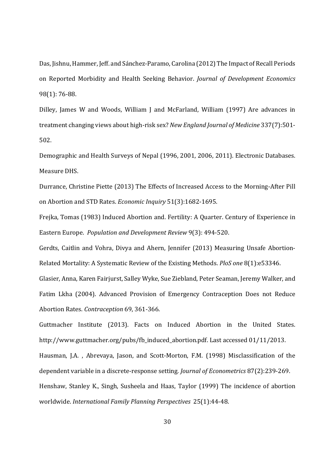Das, Jishnu, Hammer, Jeff. and Sánchez-Paramo, Carolina (2012) The Impact of Recall Periods on Reported Morbidity and Health Seeking Behavior. *Journal of Development Economics* 98(1): 76‐88. 

Dilley, James W and Woods, William J and McFarland, William (1997) Are advances in treatment changing views about high-risk sex? *New England Journal of Medicine* 337(7):501-502. 

Demographic and Health Surveys of Nepal (1996, 2001, 2006, 2011). Electronic Databases. Measure DHS.

Durrance, Christine Piette (2013) The Effects of Increased Access to the Morning-After Pill on Abortion and STD Rates. *Economic Inquiry* 51(3):1682-1695.

Frejka, Tomas (1983) Induced Abortion and. Fertility: A Quarter. Century of Experience in Eastern Europe. *Population and Development Review* 9(3): 494-520.

Gerdts, Caitlin and Vohra, Divya and Ahern, Jennifer (2013) Measuring Unsafe Abortion-Related Mortality: A Systematic Review of the Existing Methods. *PloS* one 8(1):e53346.

Glasier, Anna, Karen Fairjurst, Salley Wyke, Sue Ziebland, Peter Seaman, Jeremy Walker, and Fatim Lkha (2004). Advanced Provision of Emergency Contraception Does not Reduce Abortion Rates. *Contraception* 69, 361-366.

Guttmacher Institute (2013). Facts on Induced Abortion in the United States. http://www.guttmacher.org/pubs/fb\_induced\_abortion.pdf. Last accessed 01/11/2013.

Hausman, J.A., Abrevaya, Jason, and Scott-Morton, F.M. (1998) Misclassification of the dependent variable in a discrete-response setting. *Journal of Econometrics* 87(2):239-269.

Henshaw, Stanley K., Singh, Susheela and Haas, Taylor (1999) The incidence of abortion worldwide. *International Family Planning Perspectives* 25(1):44‐48.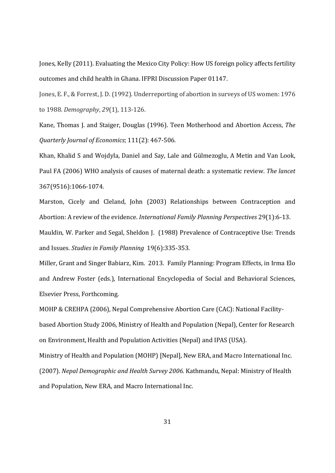Jones, Kelly (2011). Evaluating the Mexico City Policy: How US foreign policy affects fertility outcomes and child health in Ghana. IFPRI Discussion Paper 01147.

Jones, E. F., & Forrest, J. D. (1992). Underreporting of abortion in surveys of US women: 1976 to 1988. *Demography*, *29*(1), 113‐126.

Kane, Thomas J. and Staiger, Douglas (1996). Teen Motherhood and Abortion Access, *The Quarterly Journal of Economics*; 111(2): 467‐506. 

Khan, Khalid S and Wojdyla, Daniel and Say, Lale and Gülmezoglu, A Metin and Van Look, Paul FA (2006) WHO analysis of causes of maternal death: a systematic review. The lancet 367(9516):1066‐1074. 

Marston, Cicely and Cleland, John (2003) Relationships between Contraception and Abortion: A review of the evidence. *International Family Planning Perspectives* 29(1):6-13.

Mauldin, W. Parker and Segal, Sheldon J. (1988) Prevalence of Contraceptive Use: Trends and Issues. *Studies in Family Planning* 19(6):335‐353. 

Miller, Grant and Singer Babiarz, Kim. 2013. Family Planning: Program Effects, in Irma Elo and Andrew Foster (eds.), International Encyclopedia of Social and Behavioral Sciences, Elsevier Press, Forthcoming.

MOHP & CREHPA (2006), Nepal Comprehensive Abortion Care (CAC): National Facilitybased Abortion Study 2006, Ministry of Health and Population (Nepal), Center for Research on Environment, Health and Population Activities (Nepal) and IPAS (USA).

Ministry of Health and Population (MOHP) [Nepal], New ERA, and Macro International Inc. (2007). *Nepal Demographic and Health Survey 2006.* Kathmandu, Nepal: Ministry of Health and Population, New ERA, and Macro International Inc.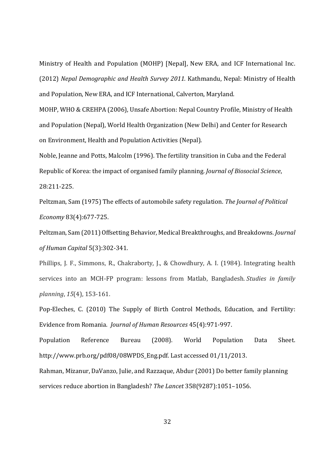Ministry of Health and Population (MOHP) [Nepal], New ERA, and ICF International Inc. (2012) *Nepal Demographic and Health Survey 2011.* Kathmandu, Nepal: Ministry of Health and Population, New ERA, and ICF International, Calverton, Maryland.

MOHP, WHO & CREHPA (2006), Unsafe Abortion: Nepal Country Profile, Ministry of Health and Population (Nepal), World Health Organization (New Delhi) and Center for Research on Environment, Health and Population Activities (Nepal).

Noble, Jeanne and Potts, Malcolm (1996). The fertility transition in Cuba and the Federal Republic of Korea: the impact of organised family planning. *Journal of Biosocial Science*, 28:211‐225. 

Peltzman, Sam (1975) The effects of automobile safety regulation. *The Journal of Political Economy* 83(4):677‐725. 

Peltzman, Sam (2011) Offsetting Behavior, Medical Breakthroughs, and Breakdowns. *Journal of Human Capital* 5(3):302‐341. 

Phillips, J. F., Simmons, R., Chakraborty, J., & Chowdhury, A. I. (1984). Integrating health services into an MCH-FP program: lessons from Matlab, Bangladesh. *Studies in family planning*, *15*(4), 153‐161. 

Pop-Eleches, C. (2010) The Supply of Birth Control Methods, Education, and Fertility: Evidence from Romania. *Journal of Human Resources* 45(4):971-997.

Population Reference Bureau (2008). World Population Data Sheet. http://www.prb.org/pdf08/08WPDS\_Eng.pdf. Last accessed 01/11/2013.

Rahman, Mizanur, DaVanzo, Julie, and Razzaque, Abdur (2001) Do better family planning services reduce abortion in Bangladesh? The *Lancet* 358(9287):1051-1056.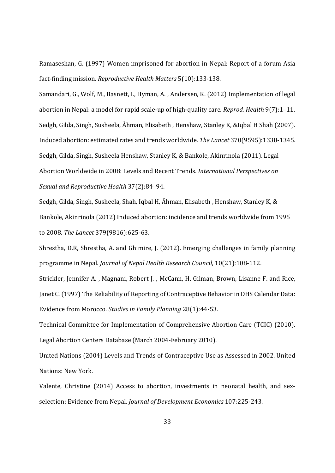Ramaseshan, G. (1997) Women imprisoned for abortion in Nepal: Report of a forum Asia fact‐finding mission. *Reproductive Health Matters* 5(10):133‐138. 

Samandari, G., Wolf, M., Basnett, I., Hyman, A., Andersen, K. (2012) Implementation of legal abortion in Nepal: a model for rapid scale-up of high-quality care. *Reprod. Health* 9(7):1–11. Sedgh, Gilda, Singh, Susheela, Åhman, Elisabeth, Henshaw, Stanley K, &Iqbal H Shah (2007). Induced abortion: estimated rates and trends worldwide. The Lancet 370(9595):1338-1345. Sedgh, Gilda, Singh, Susheela Henshaw, Stanley K, & Bankole, Akinrinola (2011). Legal Abortion Worldwide in 2008: Levels and Recent Trends. *International Perspectives on Sexual and Reproductive Health* 37(2):84–94.

Sedgh, Gilda, Singh, Susheela, Shah, Iqbal H, Åhman, Elisabeth, Henshaw, Stanley K, & Bankole, Akinrinola (2012) Induced abortion: incidence and trends worldwide from 1995 to 2008. *The Lancet* 379(9816):625‐63. 

Shrestha, D.R, Shrestha, A. and Ghimire, J. (2012). Emerging challenges in family planning programme in Nepal. *Journal of Nepal Health Research Council*,  $10(21):108-112$ .

Strickler, Jennifer A., Magnani, Robert J., McCann, H. Gilman, Brown, Lisanne F. and Rice, Janet C. (1997) The Reliability of Reporting of Contraceptive Behavior in DHS Calendar Data: Evidence from Morocco. *Studies in Family Planning* 28(1):44‐53. 

Technical Committee for Implementation of Comprehensive Abortion Care (TCIC) (2010). Legal Abortion Centers Database (March 2004-February 2010).

United Nations (2004) Levels and Trends of Contraceptive Use as Assessed in 2002. United Nations: New York.

Valente, Christine (2014) Access to abortion, investments in neonatal health, and sexselection: Evidence from Nepal. *Journal of Development Economics* 107:225-243.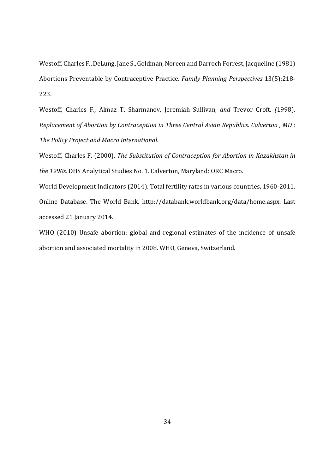Westoff, Charles F., DeLung, Jane S., Goldman, Noreen and Darroch Forrest, Jacqueline (1981) Abortions Preventable by Contraceptive Practice. *Family Planning Perspectives* 13(5):218‐ 223. 

Westoff, Charles F., Almaz T. Sharmanov, Jeremiah Sullivan, and Trevor Croft. (1998). *Replacement of Abortion by Contraception in Three Central Asian Republics. Calverton , MD : The Policy Project and Macro International.*

Westoff, Charles F. (2000). *The Substitution of Contraception for Abortion in Kazakhstan in the* 1990s. DHS Analytical Studies No. 1. Calverton, Maryland: ORC Macro.

World Development Indicators (2014). Total fertility rates in various countries, 1960-2011. Online Database. The World Bank. http://databank.worldbank.org/data/home.aspx. Last accessed 21 January 2014. 

WHO (2010) Unsafe abortion: global and regional estimates of the incidence of unsafe abortion and associated mortality in 2008. WHO, Geneva, Switzerland.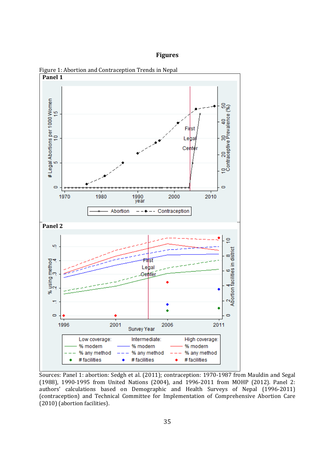



Figure 1: Abortion and Contraception Trends in Nepal

Sources: Panel 1: abortion: Sedgh et al. (2011); contraception: 1970-1987 from Mauldin and Segal (1988), 1990-1995 from United Nations (2004), and 1996-2011 from MOHP (2012). Panel 2: authors' calculations based on Demographic and Health Surveys of Nepal (1996-2011) (contraception) and Technical Committee for Implementation of Comprehensive Abortion Care  $(2010)$  (abortion facilities).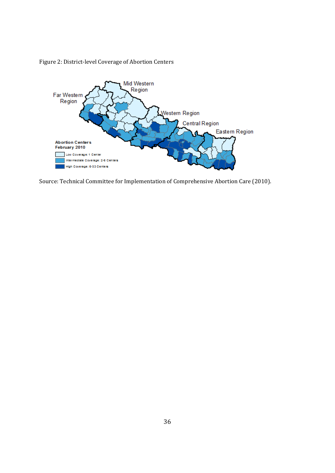



Source: Technical Committee for Implementation of Comprehensive Abortion Care (2010).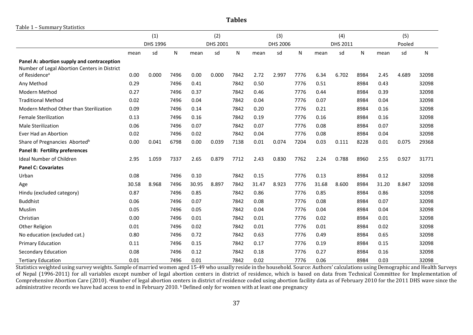**Tables**

#### Table 1 - Summary Statistics

|                                                                                            |       | (1)      |      |       | (2)      |      |       | (3)      |      |       | (4)      |      |       | (5)    |              |
|--------------------------------------------------------------------------------------------|-------|----------|------|-------|----------|------|-------|----------|------|-------|----------|------|-------|--------|--------------|
|                                                                                            |       | DHS 1996 |      |       | DHS 2001 |      |       | DHS 2006 |      |       | DHS 2011 |      |       | Pooled |              |
|                                                                                            | mean  | sd       | N    | mean  | sd       | N    | mean  | sd       | N    | mean  | sd       | N    | mean  | sd     | $\mathsf{N}$ |
| Panel A: abortion supply and contraception<br>Number of Legal Abortion Centers in District |       |          |      |       |          |      |       |          |      |       |          |      |       |        |              |
| of Residence <sup>a</sup>                                                                  | 0.00  | 0.000    | 7496 | 0.00  | 0.000    | 7842 | 2.72  | 2.997    | 7776 | 6.34  | 6.702    | 8984 | 2.45  | 4.689  | 32098        |
| Any Method                                                                                 | 0.29  |          | 7496 | 0.41  |          | 7842 | 0.50  |          | 7776 | 0.51  |          | 8984 | 0.43  |        | 32098        |
| Modern Method                                                                              | 0.27  |          | 7496 | 0.37  |          | 7842 | 0.46  |          | 7776 | 0.44  |          | 8984 | 0.39  |        | 32098        |
| <b>Traditional Method</b>                                                                  | 0.02  |          | 7496 | 0.04  |          | 7842 | 0.04  |          | 7776 | 0.07  |          | 8984 | 0.04  |        | 32098        |
| Modern Method Other than Sterilization                                                     | 0.09  |          | 7496 | 0.14  |          | 7842 | 0.20  |          | 7776 | 0.21  |          | 8984 | 0.16  |        | 32098        |
| <b>Female Sterilization</b>                                                                | 0.13  |          | 7496 | 0.16  |          | 7842 | 0.19  |          | 7776 | 0.16  |          | 8984 | 0.16  |        | 32098        |
| <b>Male Sterilization</b>                                                                  | 0.06  |          | 7496 | 0.07  |          | 7842 | 0.07  |          | 7776 | 0.08  |          | 8984 | 0.07  |        | 32098        |
| Ever Had an Abortion                                                                       | 0.02  |          | 7496 | 0.02  |          | 7842 | 0.04  |          | 7776 | 0.08  |          | 8984 | 0.04  |        | 32098        |
| Share of Pregnancies Aborted <sup>b</sup>                                                  | 0.00  | 0.041    | 6798 | 0.00  | 0.039    | 7138 | 0.01  | 0.074    | 7204 | 0.03  | 0.111    | 8228 | 0.01  | 0.075  | 29368        |
| Panel B: Fertility preferences                                                             |       |          |      |       |          |      |       |          |      |       |          |      |       |        |              |
| <b>Ideal Number of Children</b>                                                            | 2.95  | 1.059    | 7337 | 2.65  | 0.879    | 7712 | 2.43  | 0.830    | 7762 | 2.24  | 0.788    | 8960 | 2.55  | 0.927  | 31771        |
| <b>Panel C: Covariates</b>                                                                 |       |          |      |       |          |      |       |          |      |       |          |      |       |        |              |
| Urban                                                                                      | 0.08  |          | 7496 | 0.10  |          | 7842 | 0.15  |          | 7776 | 0.13  |          | 8984 | 0.12  |        | 32098        |
| Age                                                                                        | 30.58 | 8.968    | 7496 | 30.95 | 8.897    | 7842 | 31.47 | 8.923    | 7776 | 31.68 | 8.600    | 8984 | 31.20 | 8.847  | 32098        |
| Hindu (excluded category)                                                                  | 0.87  |          | 7496 | 0.85  |          | 7842 | 0.86  |          | 7776 | 0.85  |          | 8984 | 0.86  |        | 32098        |
| <b>Buddhist</b>                                                                            | 0.06  |          | 7496 | 0.07  |          | 7842 | 0.08  |          | 7776 | 0.08  |          | 8984 | 0.07  |        | 32098        |
| Muslim                                                                                     | 0.05  |          | 7496 | 0.05  |          | 7842 | 0.04  |          | 7776 | 0.04  |          | 8984 | 0.04  |        | 32098        |
| Christian                                                                                  | 0.00  |          | 7496 | 0.01  |          | 7842 | 0.01  |          | 7776 | 0.02  |          | 8984 | 0.01  |        | 32098        |
| Other Religion                                                                             | 0.01  |          | 7496 | 0.02  |          | 7842 | 0.01  |          | 7776 | 0.01  |          | 8984 | 0.02  |        | 32098        |
| No education (excluded cat.)                                                               | 0.80  |          | 7496 | 0.72  |          | 7842 | 0.63  |          | 7776 | 0.49  |          | 8984 | 0.65  |        | 32098        |
| <b>Primary Education</b>                                                                   | 0.11  |          | 7496 | 0.15  |          | 7842 | 0.17  |          | 7776 | 0.19  |          | 8984 | 0.15  |        | 32098        |
| Secondary Education                                                                        | 0.08  |          | 7496 | 0.12  |          | 7842 | 0.18  |          | 7776 | 0.27  |          | 8984 | 0.16  |        | 32098        |
| <b>Tertiary Education</b>                                                                  | 0.01  |          | 7496 | 0.01  |          | 7842 | 0.02  |          | 7776 | 0.06  |          | 8984 | 0.03  |        | 32098        |

Statistics weighted using survey weights. Sample of married women aged 15-49 who usually reside in the household. Source: Authors' calculations using Demographic and Health Surveys of Nepal (1996-2011) for all variables except number of legal abortion centers in district of residence, which is based on data from Technical Committee for Implementation of Comprehensive Abortion Care (2010). <sup>a</sup>Number of legal abortion centers in district of residence coded using abortion facility data as of February 2010 for the 2011 DHS wave since the administrative records we have had access to end in February 2010. **b** Defined only for women with at least one pregnancy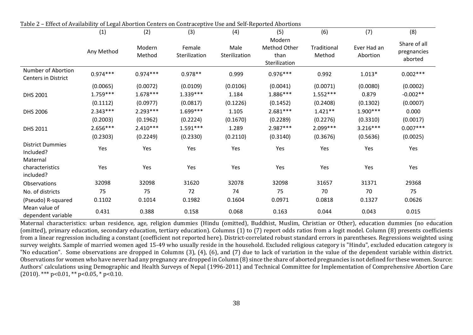|                                                  | (1)        | (2)              | (3)                     | (4)                   | (5)                                             | (6)                   | (7)                     | (8)                                    |
|--------------------------------------------------|------------|------------------|-------------------------|-----------------------|-------------------------------------------------|-----------------------|-------------------------|----------------------------------------|
|                                                  | Any Method | Modern<br>Method | Female<br>Sterilization | Male<br>Sterilization | Modern<br>Method Other<br>than<br>Sterilization | Traditional<br>Method | Ever Had an<br>Abortion | Share of all<br>pregnancies<br>aborted |
| <b>Number of Abortion</b><br>Centers in District | $0.974***$ | $0.974***$       | $0.978**$               | 0.999                 | $0.976***$                                      | 0.992                 | $1.013*$                | $0.002***$                             |
|                                                  | (0.0065)   | (0.0072)         | (0.0109)                | (0.0106)              | (0.0041)                                        | (0.0071)              | (0.0080)                | (0.0002)                               |
| DHS 2001                                         | $1.759***$ | $1.678***$       | $1.339***$              | 1.184                 | 1.886***                                        | $1.552***$            | 0.879                   | $-0.002**$                             |
|                                                  | (0.1112)   | (0.0977)         | (0.0817)                | (0.1226)              | (0.1452)                                        | (0.2408)              | (0.1302)                | (0.0007)                               |
| DHS 2006                                         | $2.343***$ | $2.293***$       | $1.699***$              | 1.105                 | $2.681***$                                      | $1.421**$             | 1.900 ***               | 0.000                                  |
|                                                  | (0.2003)   | (0.1962)         | (0.2224)                | (0.1670)              | (0.2289)                                        | (0.2276)              | (0.3310)                | (0.0017)                               |
| DHS 2011                                         | $2.656***$ | $2.410***$       | $1.591***$              | 1.289                 | 2.987***                                        | 2.099 ***             | $3.216***$              | $0.007***$                             |
|                                                  | (0.2303)   | (0.2249)         | (0.2330)                | (0.2110)              | (0.3140)                                        | (0.3676)              | (0.5636)                | (0.0025)                               |
| District Dummies<br>Included?<br>Maternal        | Yes        | Yes              | Yes                     | Yes                   | Yes                                             | Yes                   | Yes                     | Yes                                    |
| characteristics<br>included?                     | Yes        | Yes              | Yes                     | Yes                   | Yes                                             | Yes                   | Yes                     | Yes                                    |
| Observations                                     | 32098      | 32098            | 31620                   | 32078                 | 32098                                           | 31657                 | 31371                   | 29368                                  |
| No. of districts                                 | 75         | 75               | 72                      | 74                    | 75                                              | 70                    | 70                      | 75                                     |
| (Pseudo) R-squared                               | 0.1102     | 0.1014           | 0.1982                  | 0.1604                | 0.0971                                          | 0.0818                | 0.1327                  | 0.0626                                 |
| Mean value of<br>dependent variable              | 0.431      | 0.388            | 0.158                   | 0.068                 | 0.163                                           | 0.044                 | 0.043                   | 0.015                                  |

Table 2 – Effect of Availability of Legal Abortion Centers on Contraceptive Use and Self-Reported Abortions

Maternal characteristics: urban residence, age, religion dummies (Hindu (omitted), Buddhist, Muslim, Christian or Other), education dummies (no education (omitted), primary education, secondary education, tertiary education). Columns (1) to (7) report odds ratios from a logit model. Column (8) presents coefficients from a linear regression including a constant (coefficient not reported here). District-correlated robust standard errors in parentheses. Regressions weighted using survey weights. Sample of married women aged 15-49 who usually reside in the household. Excluded religious category is "Hindu", excluded education category is "No education". Some observations are dropped in Columns (3), (4), (6), and (7) due to lack of variation in the value of the dependent variable within district. Observations for women who have never had any pregnancy are dropped in Column (8) since the share of aborted pregnancies is not defined for these women. Source: Authors' calculations using Demographic and Health Surveys of Nepal (1996-2011) and Technical Committee for Implementation of Comprehensive Abortion Care  $(2010)$ , \*\*\*  $p<0.01$ , \*\*  $p<0.05$ , \*  $p<0.10$ .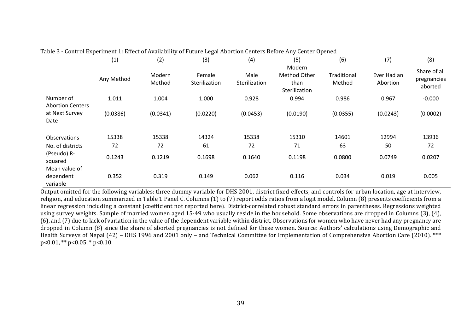|                                                   | (1)        | (2)              | (3)                     | (4)                   | (5)                                             | (6)                   | (7)                     | (8)                                    |
|---------------------------------------------------|------------|------------------|-------------------------|-----------------------|-------------------------------------------------|-----------------------|-------------------------|----------------------------------------|
|                                                   | Any Method | Modern<br>Method | Female<br>Sterilization | Male<br>Sterilization | Modern<br>Method Other<br>than<br>Sterilization | Traditional<br>Method | Ever Had an<br>Abortion | Share of all<br>pregnancies<br>aborted |
| Number of                                         | 1.011      | 1.004            | 1.000                   | 0.928                 | 0.994                                           | 0.986                 | 0.967                   | $-0.000$                               |
| <b>Abortion Centers</b><br>at Next Survey<br>Date | (0.0386)   | (0.0341)         | (0.0220)                | (0.0453)              | (0.0190)                                        | (0.0355)              | (0.0243)                | (0.0002)                               |
| Observations                                      | 15338      | 15338            | 14324                   | 15338                 | 15310                                           | 14601                 | 12994                   | 13936                                  |
| No. of districts                                  | 72         | 72               | 61                      | 72                    | 71                                              | 63                    | 50                      | 72                                     |
| (Pseudo) R-<br>squared                            | 0.1243     | 0.1219           | 0.1698                  | 0.1640                | 0.1198                                          | 0.0800                | 0.0749                  | 0.0207                                 |
| Mean value of<br>dependent<br>variable            | 0.352      | 0.319            | 0.149                   | 0.062                 | 0.116                                           | 0.034                 | 0.019                   | 0.005                                  |

Table 3 - Control Experiment 1: Effect of Availability of Future Legal Abortion Centers Before Any Center Opened

Output omitted for the following variables: three dummy variable for DHS 2001, district fixed-effects, and controls for urban location, age at interview, religion, and education summarized in Table 1 Panel C. Columns (1) to (7) report odds ratios from a logit model. Column (8) presents coefficients from a linear regression including a constant (coefficient not reported here). District-correlated robust standard errors in parentheses. Regressions weighted using survey weights. Sample of married women aged 15-49 who usually reside in the household. Some observations are dropped in Columns (3), (4),  $(6)$ , and  $(7)$  due to lack of variation in the value of the dependent variable within district. Observations for women who have never had any pregnancy are dropped in Column (8) since the share of aborted pregnancies is not defined for these women. Source: Authors' calculations using Demographic and Health Surveys of Nepal (42) – DHS 1996 and 2001 only – and Technical Committee for Implementation of Comprehensive Abortion Care (2010). \*\*\*  $p<0.01$ , \*\*  $p<0.05$ , \*  $p<0.10$ .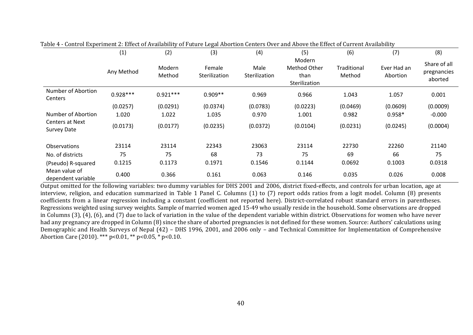|                                              | (1)        | (2)              | (3)                     | (4)                   | (5)                                             | (6)                   | (7)                     | (8)                                    |
|----------------------------------------------|------------|------------------|-------------------------|-----------------------|-------------------------------------------------|-----------------------|-------------------------|----------------------------------------|
|                                              | Any Method | Modern<br>Method | Female<br>Sterilization | Male<br>Sterilization | Modern<br>Method Other<br>than<br>Sterilization | Traditional<br>Method | Ever Had an<br>Abortion | Share of all<br>pregnancies<br>aborted |
| Number of Abortion<br>Centers                | $0.928***$ | $0.921***$       | $0.909**$               | 0.969                 | 0.966                                           | 1.043                 | 1.057                   | 0.001                                  |
|                                              | (0.0257)   | (0.0291)         | (0.0374)                | (0.0783)              | (0.0223)                                        | (0.0469)              | (0.0609)                | (0.0009)                               |
| Number of Abortion                           | 1.020      | 1.022            | 1.035                   | 0.970                 | 1.001                                           | 0.982                 | $0.958*$                | $-0.000$                               |
| <b>Centers at Next</b><br><b>Survey Date</b> | (0.0173)   | (0.0177)         | (0.0235)                | (0.0372)              | (0.0104)                                        | (0.0231)              | (0.0245)                | (0.0004)                               |
| <b>Observations</b>                          | 23114      | 23114            | 22343                   | 23063                 | 23114                                           | 22730                 | 22260                   | 21140                                  |
| No. of districts                             | 75         | 75               | 68                      | 73                    | 75                                              | 69                    | 66                      | 75                                     |
| (Pseudo) R-squared                           | 0.1215     | 0.1173           | 0.1971                  | 0.1546                | 0.1144                                          | 0.0692                | 0.1003                  | 0.0318                                 |
| Mean value of<br>dependent variable          | 0.400      | 0.366            | 0.161                   | 0.063                 | 0.146                                           | 0.035                 | 0.026                   | 0.008                                  |

Table 4 - Control Experiment 2: Effect of Availability of Future Legal Abortion Centers Over and Above the Effect of Current Availability

Output omitted for the following variables: two dummy variables for DHS 2001 and 2006, district fixed-effects, and controls for urban location, age at interview, religion, and education summarized in Table 1 Panel C. Columns (1) to (7) report odds ratios from a logit model. Column (8) presents coefficients from a linear regression including a constant (coefficient not reported here). District-correlated robust standard errors in parentheses. Regressions weighted using survey weights. Sample of married women aged 15-49 who usually reside in the household. Some observations are dropped in Columns (3), (4), (6), and (7) due to lack of variation in the value of the dependent variable within district. Observations for women who have never had any pregnancy are dropped in Column (8) since the share of aborted pregnancies is not defined for these women. Source: Authors' calculations using Demographic and Health Surveys of Nepal (42) – DHS 1996, 2001, and 2006 only – and Technical Committee for Implementation of Comprehensive Abortion Care (2010). \*\*\*  $p < 0.01$ , \*\*  $p < 0.05$ , \*  $p < 0.10$ .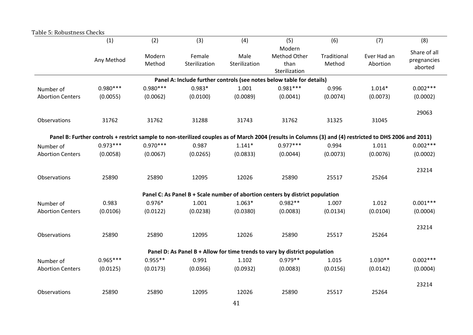|                         | (1)        | (2)              | (3)                     | (4)                   | (5)<br>Modern                                                                                                                                           | (6)                   | (7)                     | (8)                                    |
|-------------------------|------------|------------------|-------------------------|-----------------------|---------------------------------------------------------------------------------------------------------------------------------------------------------|-----------------------|-------------------------|----------------------------------------|
|                         | Any Method | Modern<br>Method | Female<br>Sterilization | Male<br>Sterilization | Method Other<br>than<br>Sterilization                                                                                                                   | Traditional<br>Method | Ever Had an<br>Abortion | Share of all<br>pregnancies<br>aborted |
|                         |            |                  |                         |                       | Panel A: Include further controls (see notes below table for details)                                                                                   |                       |                         |                                        |
| Number of               | $0.980***$ | $0.980***$       | $0.983*$                | 1.001                 | $0.981***$                                                                                                                                              | 0.996                 | $1.014*$                | $0.002***$                             |
| <b>Abortion Centers</b> | (0.0055)   | (0.0062)         | (0.0100)                | (0.0089)              | (0.0041)                                                                                                                                                | (0.0074)              | (0.0073)                | (0.0002)                               |
|                         |            |                  |                         |                       |                                                                                                                                                         |                       |                         | 29063                                  |
| Observations            | 31762      | 31762            | 31288                   | 31743                 | 31762                                                                                                                                                   | 31325                 | 31045                   |                                        |
|                         |            |                  |                         |                       | Panel B: Further controls + restrict sample to non-sterilized couples as of March 2004 (results in Columns (3) and (4) restricted to DHS 2006 and 2011) |                       |                         |                                        |
| Number of               | $0.973***$ | $0.970***$       | 0.987                   | $1.141*$              | $0.977***$                                                                                                                                              | 0.994                 | 1.011                   | $0.002***$                             |
| <b>Abortion Centers</b> | (0.0058)   | (0.0067)         | (0.0265)                | (0.0833)              | (0.0044)                                                                                                                                                | (0.0073)              | (0.0076)                | (0.0002)                               |
|                         |            |                  |                         |                       |                                                                                                                                                         |                       |                         | 23214                                  |
| Observations            | 25890      | 25890            | 12095                   | 12026                 | 25890                                                                                                                                                   | 25517                 | 25264                   |                                        |
|                         |            |                  |                         |                       | Panel C: As Panel B + Scale number of abortion centers by district population                                                                           |                       |                         |                                        |
| Number of               | 0.983      | $0.976*$         | 1.001                   | $1.063*$              | $0.982**$                                                                                                                                               | 1.007                 | 1.012                   | $0.001***$                             |
| <b>Abortion Centers</b> | (0.0106)   | (0.0122)         | (0.0238)                | (0.0380)              | (0.0083)                                                                                                                                                | (0.0134)              | (0.0104)                | (0.0004)                               |
|                         |            |                  |                         |                       |                                                                                                                                                         |                       |                         | 23214                                  |
| Observations            | 25890      | 25890            | 12095                   | 12026                 | 25890                                                                                                                                                   | 25517                 | 25264                   |                                        |
|                         |            |                  |                         |                       | Panel D: As Panel B + Allow for time trends to vary by district population                                                                              |                       |                         |                                        |
| Number of               | $0.965***$ | $0.955**$        | 0.991                   | 1.102                 | $0.979**$                                                                                                                                               | 1.015                 | $1.030**$               | $0.002***$                             |
| <b>Abortion Centers</b> | (0.0125)   | (0.0173)         | (0.0366)                | (0.0932)              | (0.0083)                                                                                                                                                | (0.0156)              | (0.0142)                | (0.0004)                               |
|                         |            |                  |                         |                       |                                                                                                                                                         |                       |                         | 23214                                  |
| Observations            | 25890      | 25890            | 12095                   | 12026                 | 25890                                                                                                                                                   | 25517                 | 25264                   |                                        |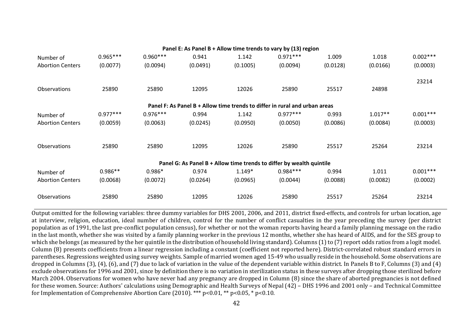|                         |            |            |          |          | Panel E: As Panel B + Allow time trends to vary by (13) region             |          |           |            |
|-------------------------|------------|------------|----------|----------|----------------------------------------------------------------------------|----------|-----------|------------|
| Number of               | $0.965***$ | $0.960***$ | 0.941    | 1.142    | $0.971***$                                                                 | 1.009    | 1.018     | $0.002***$ |
| <b>Abortion Centers</b> | (0.0077)   | (0.0094)   | (0.0491) | (0.1005) | (0.0094)                                                                   | (0.0128) | (0.0166)  | (0.0003)   |
|                         |            |            |          |          |                                                                            |          |           | 23214      |
| <b>Observations</b>     | 25890      | 25890      | 12095    | 12026    | 25890                                                                      | 25517    | 24898     |            |
|                         |            |            |          |          | Panel F: As Panel B + Allow time trends to differ in rural and urban areas |          |           |            |
| Number of               | $0.977***$ | $0.976***$ | 0.994    | 1.142    | $0.977***$                                                                 | 0.993    | $1.017**$ | $0.001***$ |
| <b>Abortion Centers</b> | (0.0059)   | (0.0063)   | (0.0245) | (0.0950) | (0.0050)                                                                   | (0.0086) | (0.0084)  | (0.0003)   |
| <b>Observations</b>     | 25890      | 25890      | 12095    | 12026    | 25890                                                                      | 25517    | 25264     | 23214      |
|                         |            |            |          |          | Panel G: As Panel B + Allow time trends to differ by wealth quintile       |          |           |            |
| Number of               | $0.986**$  | $0.986*$   | 0.974    | $1.149*$ | $0.984***$                                                                 | 0.994    | 1.011     | $0.001***$ |
| <b>Abortion Centers</b> | (0.0068)   | (0.0072)   | (0.0264) | (0.0965) | (0.0044)                                                                   | (0.0088) | (0.0082)  | (0.0002)   |
| <b>Observations</b>     | 25890      | 25890      | 12095    | 12026    | 25890                                                                      | 25517    | 25264     | 23214      |

Output omitted for the following variables: three dummy variables for DHS 2001, 2006, and 2011, district fixed-effects, and controls for urban location, age at interview, religion, education, ideal number of children, control for the number of conflict casualties in the vear preceding the survey (per district population as of 1991, the last pre-conflict population census), for whether or not the woman reports having heard a family planning message on the radio in the last month, whether she was visited by a family planning worker in the previous 12 months, whether she has heard of AIDS, and for the SES group to which she belongs (as measured by the her quintile in the distribution of household living standard). Columns  $(1)$  to  $(7)$  report odds ratios from a logit model. Column (8) presents coefficients from a linear regression including a constant (coefficient not reported here). District-correlated robust standard errors in parentheses. Regressions weighted using survey weights. Sample of married women aged 15-49 who usually reside in the household. Some observations are dropped in Columns  $(3)$ ,  $(4)$ ,  $(6)$ , and  $(7)$  due to lack of variation in the value of the dependent variable within district. In Panels B to F, Columns  $(3)$  and  $(4)$ exclude observations for 1996 and 2001, since by definition there is no variation in sterilization status in these surveys after dropping those sterilized before March 2004. Observations for women who have never had any pregnancy are dropped in Column (8) since the share of aborted pregnancies is not defined for these women. Source: Authors' calculations using Demographic and Health Surveys of Nepal (42) – DHS 1996 and 2001 only – and Technical Committee for Implementation of Comprehensive Abortion Care  $(2010)$ . \*\*\* p<0.01, \*\* p<0.05, \* p<0.10.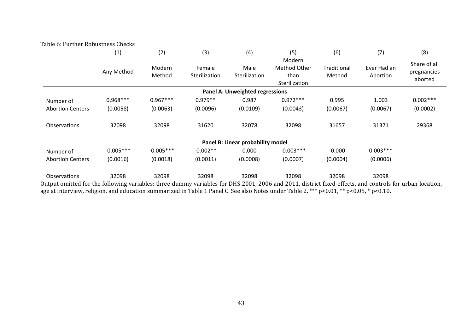| Table 6: Further Robustness Checks |             |                  |                         |                                        |                                                 |                              |                         |                                        |
|------------------------------------|-------------|------------------|-------------------------|----------------------------------------|-------------------------------------------------|------------------------------|-------------------------|----------------------------------------|
|                                    | (1)         | (2)              | (3)                     | (4)                                    | (5)                                             | (6)                          | (7)                     | (8)                                    |
|                                    | Any Method  | Modern<br>Method | Female<br>Sterilization | Male<br>Sterilization                  | Modern<br>Method Other<br>than<br>Sterilization | <b>Traditional</b><br>Method | Ever Had an<br>Abortion | Share of all<br>pregnancies<br>aborted |
|                                    |             |                  |                         | <b>Panel A: Unweighted regressions</b> |                                                 |                              |                         |                                        |
| Number of                          | $0.968***$  | $0.967***$       | $0.979**$               | 0.987                                  | $0.972***$                                      | 0.995                        | 1.003                   | $0.002***$                             |
| <b>Abortion Centers</b>            | (0.0058)    | (0.0063)         | (0.0096)                | (0.0109)                               | (0.0043)                                        | (0.0067)                     | (0.0067)                | (0.0002)                               |
| <b>Observations</b>                | 32098       | 32098            | 31620                   | 32078                                  | 32098                                           | 31657                        | 31371                   | 29368                                  |
|                                    |             |                  |                         | Panel B: Linear probability model      |                                                 |                              |                         |                                        |
| Number of                          | $-0.005***$ | $-0.005***$      | $-0.002**$              | 0.000                                  | $-0.003***$                                     | $-0.000$                     | $0.003***$              |                                        |
| <b>Abortion Centers</b>            | (0.0016)    | (0.0018)         | (0.0011)                | (0.0008)                               | (0.0007)                                        | (0.0004)                     | (0.0006)                |                                        |
| <b>Observations</b>                | 32098       | 32098            | 32098                   | 32098                                  | 32098                                           | 32098                        | 32098                   |                                        |

Output omitted for the following variables: three dummy variables for DHS 2001, 2006 and 2011, district fixed-effects, and controls for urban location, age at interview, religion, and education summarized in Table 1 Panel C. See also Notes under Table 2. \*\*\* p<0.01, \*\* p<0.05, \* p<0.10.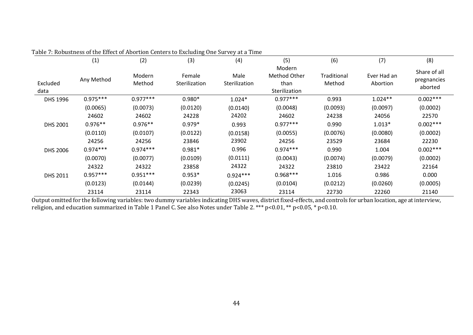|                  | (1)        | (2)              | (3)                     | (4)                   | (5)                                             | (6)                   | (7)                     | (8)                                    |
|------------------|------------|------------------|-------------------------|-----------------------|-------------------------------------------------|-----------------------|-------------------------|----------------------------------------|
| Excluded<br>data | Any Method | Modern<br>Method | Female<br>Sterilization | Male<br>Sterilization | Modern<br>Method Other<br>than<br>Sterilization | Traditional<br>Method | Ever Had an<br>Abortion | Share of all<br>pregnancies<br>aborted |
| DHS 1996         | $0.975***$ | $0.977***$       | $0.980*$                | $1.024*$              | $0.977***$                                      | 0.993                 | $1.024**$               | $0.002***$                             |
|                  | (0.0065)   | (0.0073)         | (0.0120)                | (0.0140)              | (0.0048)                                        | (0.0093)              | (0.0097)                | (0.0002)                               |
|                  | 24602      | 24602            | 24228                   | 24202                 | 24602                                           | 24238                 | 24056                   | 22570                                  |
| <b>DHS 2001</b>  | $0.976**$  | $0.976**$        | $0.979*$                | 0.993                 | $0.977***$                                      | 0.990                 | $1.013*$                | $0.002***$                             |
|                  | (0.0110)   | (0.0107)         | (0.0122)                | (0.0158)              | (0.0055)                                        | (0.0076)              | (0.0080)                | (0.0002)                               |
|                  | 24256      | 24256            | 23846                   | 23902                 | 24256                                           | 23529                 | 23684                   | 22230                                  |
| <b>DHS 2006</b>  | $0.974***$ | $0.974***$       | $0.981*$                | 0.996                 | $0.974***$                                      | 0.990                 | 1.004                   | $0.002***$                             |
|                  | (0.0070)   | (0.0077)         | (0.0109)                | (0.0111)              | (0.0043)                                        | (0.0074)              | (0.0079)                | (0.0002)                               |
|                  | 24322      | 24322            | 23858                   | 24322                 | 24322                                           | 23810                 | 23422                   | 22164                                  |
| <b>DHS 2011</b>  | $0.957***$ | $0.951***$       | $0.953*$                | $0.924***$            | $0.968***$                                      | 1.016                 | 0.986                   | 0.000                                  |
|                  | (0.0123)   | (0.0144)         | (0.0239)                | (0.0245)              | (0.0104)                                        | (0.0212)              | (0.0260)                | (0.0005)                               |
|                  | 23114      | 23114            | 22343                   | 23063                 | 23114                                           | 22730                 | 22260                   | 21140                                  |

Table 7: Robustness of the Effect of Abortion Centers to Excluding One Survey at a Time

Output omitted for the following variables: two dummy variables indicating DHS waves, district fixed-effects, and controls for urban location, age at interview, religion, and education summarized in Table 1 Panel C. See also Notes under Table 2. \*\*\* p<0.01, \*\* p<0.05, \* p<0.10.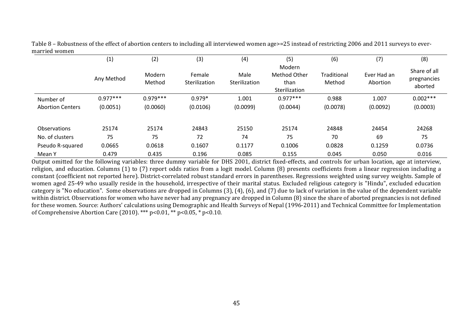Table 8 – Robustness of the effect of abortion centers to including all interviewed women age>=25 instead of restricting 2006 and 2011 surveys to evermarried women

|                         | (1)        | (2)              | (3)                     | (4)                   | (5)                                                    | (6)                   | (7)                     | (8)                                    |
|-------------------------|------------|------------------|-------------------------|-----------------------|--------------------------------------------------------|-----------------------|-------------------------|----------------------------------------|
|                         | Any Method | Modern<br>Method | Female<br>Sterilization | Male<br>Sterilization | Modern<br><b>Method Other</b><br>than<br>Sterilization | Traditional<br>Method | Ever Had an<br>Abortion | Share of all<br>pregnancies<br>aborted |
| Number of               | $0.977***$ | $0.979***$       | $0.979*$                | 1.001                 | $0.977***$                                             | 0.988                 | 1.007                   | $0.002***$                             |
| <b>Abortion Centers</b> | (0.0051)   | (0.0060)         | (0.0106)                | (0.0099)              | (0.0044)                                               | (0.0078)              | (0.0092)                | (0.0003)                               |
| Observations            | 25174      | 25174            | 24843                   | 25150                 | 25174                                                  | 24848                 | 24454                   | 24268                                  |
| No. of clusters         | 75         | 75               | 72                      | 74                    | 75                                                     | 70                    | 69                      | 75                                     |
| Pseudo R-squared        | 0.0665     | 0.0618           | 0.1607                  | 0.1177                | 0.1006                                                 | 0.0828                | 0.1259                  | 0.0736                                 |
| Mean Y                  | 0.479      | 0.435            | 0.196                   | 0.085                 | 0.155                                                  | 0.045                 | 0.050                   | 0.016                                  |

Output omitted for the following variables: three dummy variable for DHS 2001, district fixed-effects, and controls for urban location, age at interview, religion, and education. Columns  $(1)$  to  $(7)$  report odds ratios from a logit model. Column  $(8)$  presents coefficients from a linear regression including a constant (coefficient not reported here). District-correlated robust standard errors in parentheses. Regressions weighted using survey weights. Sample of women aged 25-49 who usually reside in the household, irrespective of their marital status. Excluded religious category is "Hindu", excluded education category is "No education". Some observations are dropped in Columns (3), (4), (6), and (7) due to lack of variation in the value of the dependent variable within district. Observations for women who have never had any pregnancy are dropped in Column (8) since the share of aborted pregnancies is not defined for these women. Source: Authors' calculations using Demographic and Health Surveys of Nepal (1996-2011) and Technical Committee for Implementation of Comprehensive Abortion Care (2010). \*\*\*  $p$  < 0.01, \*\*  $p$  < 0.05, \*  $p$  < 0.10.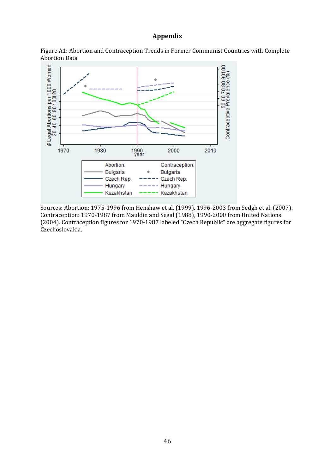# **Appendix**





Sources: Abortion: 1975-1996 from Henshaw et al. (1999), 1996-2003 from Sedgh et al. (2007). Contraception: 1970-1987 from Mauldin and Segal (1988), 1990-2000 from United Nations (2004). Contraception figures for 1970-1987 labeled "Czech Republic" are aggregate figures for Czechoslovakia.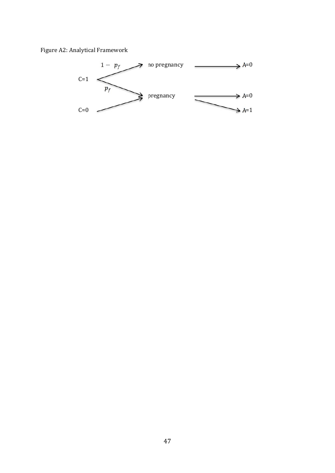Figure A2: Analytical Framework

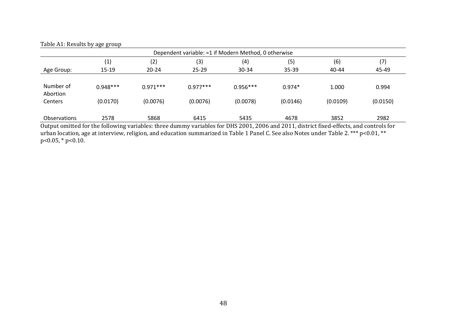| Table A1: Results by age group   |                        |                        |                        |                                                       |                      |                   |                   |
|----------------------------------|------------------------|------------------------|------------------------|-------------------------------------------------------|----------------------|-------------------|-------------------|
|                                  |                        |                        |                        | Dependent variable: = 1 if Modern Method, 0 otherwise |                      |                   |                   |
|                                  | (1)                    | (2)                    | (3)                    | (4)                                                   | (5)                  | (6)               | (7)               |
| Age Group:                       | $15 - 19$              | $20 - 24$              | $25 - 29$              | 30-34                                                 | 35-39                | 40-44             | 45-49             |
| Number of<br>Abortion<br>Centers | $0.948***$<br>(0.0170) | $0.971***$<br>(0.0076) | $0.977***$<br>(0.0076) | $0.956***$<br>(0.0078)                                | $0.974*$<br>(0.0146) | 1.000<br>(0.0109) | 0.994<br>(0.0150) |
| <b>Observations</b>              | 2578                   | 5868                   | 6415                   | 5435                                                  | 4678                 | 3852              | 2982              |

Output omitted for the following variables: three dummy variables for DHS 2001, 2006 and 2011, district fixed-effects, and controls for urban location, age at interview, religion, and education summarized in Table 1 Panel C. See also Notes under Table 2. \*\*\* p<0.01, \*\*  $p<0.05$ , \*  $p<0.10$ .